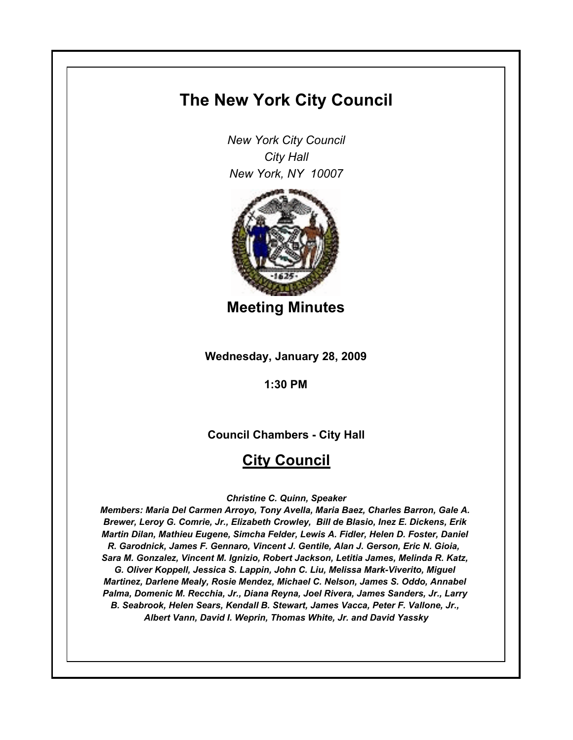# **The New York City Council**

*New York City Council City Hall New York, NY 10007*



**Meeting Minutes**

**Wednesday, January 28, 2009**

**1:30 PM**

**Council Chambers - City Hall**

## **City Council**

*Christine C. Quinn, Speaker*

*Members: Maria Del Carmen Arroyo, Tony Avella, Maria Baez, Charles Barron, Gale A. Brewer, Leroy G. Comrie, Jr., Elizabeth Crowley, Bill de Blasio, Inez E. Dickens, Erik Martin Dilan, Mathieu Eugene, Simcha Felder, Lewis A. Fidler, Helen D. Foster, Daniel R. Garodnick, James F. Gennaro, Vincent J. Gentile, Alan J. Gerson, Eric N. Gioia, Sara M. Gonzalez, Vincent M. Ignizio, Robert Jackson, Letitia James, Melinda R. Katz, G. Oliver Koppell, Jessica S. Lappin, John C. Liu, Melissa Mark-Viverito, Miguel Martinez, Darlene Mealy, Rosie Mendez, Michael C. Nelson, James S. Oddo, Annabel Palma, Domenic M. Recchia, Jr., Diana Reyna, Joel Rivera, James Sanders, Jr., Larry B. Seabrook, Helen Sears, Kendall B. Stewart, James Vacca, Peter F. Vallone, Jr., Albert Vann, David I. Weprin, Thomas White, Jr. and David Yassky*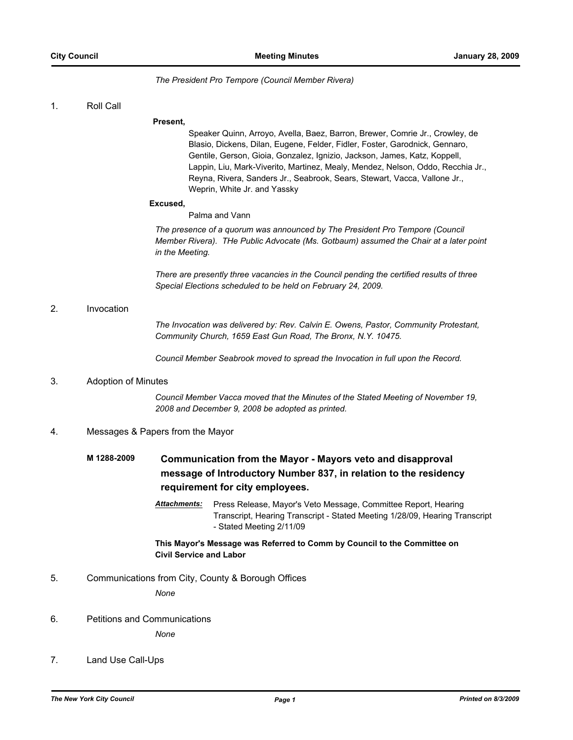#### *The President Pro Tempore (Council Member Rivera)*

1. Roll Call

#### **Present,**

Speaker Quinn, Arroyo, Avella, Baez, Barron, Brewer, Comrie Jr., Crowley, de Blasio, Dickens, Dilan, Eugene, Felder, Fidler, Foster, Garodnick, Gennaro, Gentile, Gerson, Gioia, Gonzalez, Ignizio, Jackson, James, Katz, Koppell, Lappin, Liu, Mark-Viverito, Martinez, Mealy, Mendez, Nelson, Oddo, Recchia Jr., Reyna, Rivera, Sanders Jr., Seabrook, Sears, Stewart, Vacca, Vallone Jr., Weprin, White Jr. and Yassky

#### **Excused,**

Palma and Vann

*The presence of a quorum was announced by The President Pro Tempore (Council Member Rivera). THe Public Advocate (Ms. Gotbaum) assumed the Chair at a later point in the Meeting.*

*There are presently three vacancies in the Council pending the certified results of three Special Elections scheduled to be held on February 24, 2009.*

#### 2. Invocation

*The Invocation was delivered by: Rev. Calvin E. Owens, Pastor, Community Protestant, Community Church, 1659 East Gun Road, The Bronx, N.Y. 10475.*

*Council Member Seabrook moved to spread the Invocation in full upon the Record.*

#### 3. Adoption of Minutes

*Council Member Vacca moved that the Minutes of the Stated Meeting of November 19, 2008 and December 9, 2008 be adopted as printed.*

#### 4. Messages & Papers from the Mayor

## **M 1288-2009 Communication from the Mayor - Mayors veto and disapproval message of Introductory Number 837, in relation to the residency requirement for city employees.**

Attachments: Press Release, Mayor's Veto Message, Committee Report, Hearing Transcript, Hearing Transcript - Stated Meeting 1/28/09, Hearing Transcript - Stated Meeting 2/11/09

#### **This Mayor's Message was Referred to Comm by Council to the Committee on Civil Service and Labor**

5. Communications from City, County & Borough Offices

*None*

6. Petitions and Communications

*None*

### 7. Land Use Call-Ups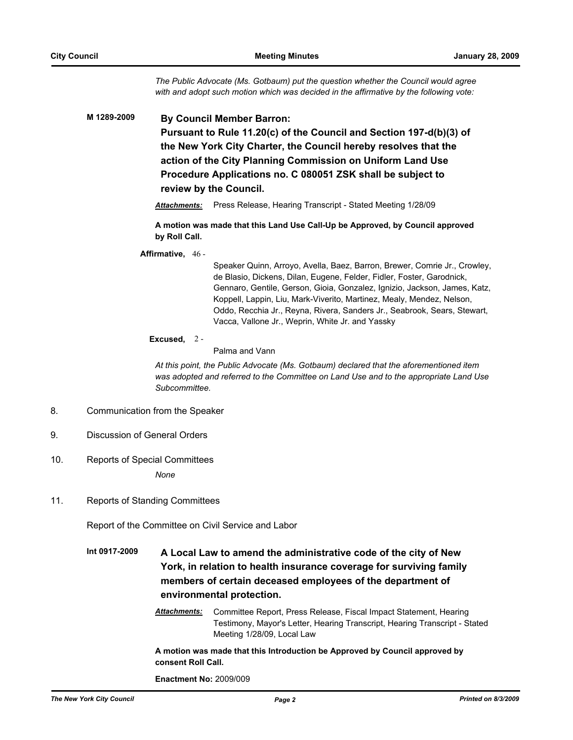*The Public Advocate (Ms. Gotbaum) put the question whether the Council would agree with and adopt such motion which was decided in the affirmative by the following vote:*

**M 1289-2009 By Council Member Barron: Pursuant to Rule 11.20(c) of the Council and Section 197-d(b)(3) of the New York City Charter, the Council hereby resolves that the action of the City Planning Commission on Uniform Land Use Procedure Applications no. C 080051 ZSK shall be subject to review by the Council.**

*Attachments:* Press Release, Hearing Transcript - Stated Meeting 1/28/09

**A motion was made that this Land Use Call-Up be Approved, by Council approved by Roll Call.**

#### **Affirmative,** 46 -

Speaker Quinn, Arroyo, Avella, Baez, Barron, Brewer, Comrie Jr., Crowley, de Blasio, Dickens, Dilan, Eugene, Felder, Fidler, Foster, Garodnick, Gennaro, Gentile, Gerson, Gioia, Gonzalez, Ignizio, Jackson, James, Katz, Koppell, Lappin, Liu, Mark-Viverito, Martinez, Mealy, Mendez, Nelson, Oddo, Recchia Jr., Reyna, Rivera, Sanders Jr., Seabrook, Sears, Stewart, Vacca, Vallone Jr., Weprin, White Jr. and Yassky

#### **Excused,** 2 -

Palma and Vann

*At this point, the Public Advocate (Ms. Gotbaum) declared that the aforementioned item was adopted and referred to the Committee on Land Use and to the appropriate Land Use Subcommittee.*

- 8. Communication from the Speaker
- 9. Discussion of General Orders
- 10. Reports of Special Committees

*None*

11. Reports of Standing Committees

Report of the Committee on Civil Service and Labor

- **Int 0917-2009 A Local Law to amend the administrative code of the city of New York, in relation to health insurance coverage for surviving family members of certain deceased employees of the department of environmental protection.**
	- *Attachments:* Committee Report, Press Release, Fiscal Impact Statement, Hearing Testimony, Mayor's Letter, Hearing Transcript, Hearing Transcript - Stated Meeting 1/28/09, Local Law

**A motion was made that this Introduction be Approved by Council approved by consent Roll Call.**

**Enactment No:** 2009/009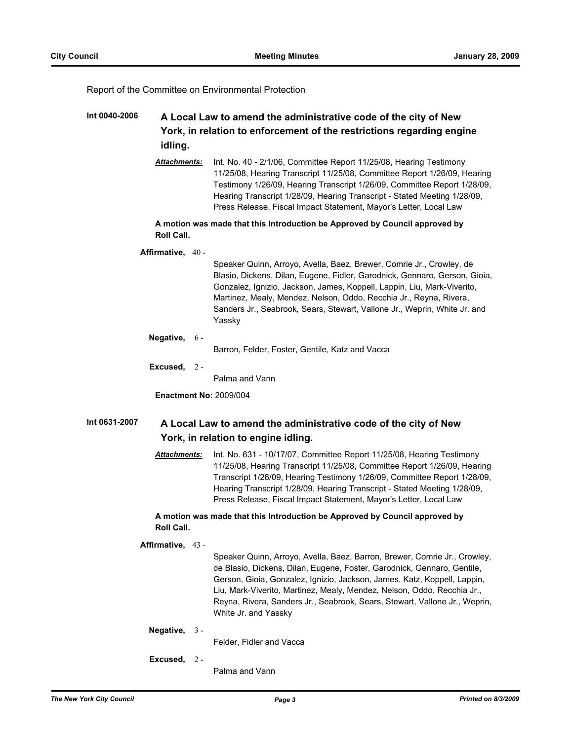Report of the Committee on Environmental Protection

### **Int 0040-2006 A Local Law to amend the administrative code of the city of New York, in relation to enforcement of the restrictions regarding engine idling.**

*Attachments:* Int. No. 40 - 2/1/06, Committee Report 11/25/08, Hearing Testimony 11/25/08, Hearing Transcript 11/25/08, Committee Report 1/26/09, Hearing Testimony 1/26/09, Hearing Transcript 1/26/09, Committee Report 1/28/09, Hearing Transcript 1/28/09, Hearing Transcript - Stated Meeting 1/28/09, Press Release, Fiscal Impact Statement, Mayor's Letter, Local Law

#### **A motion was made that this Introduction be Approved by Council approved by Roll Call.**

#### **Affirmative,** 40 -

Speaker Quinn, Arroyo, Avella, Baez, Brewer, Comrie Jr., Crowley, de Blasio, Dickens, Dilan, Eugene, Fidler, Garodnick, Gennaro, Gerson, Gioia, Gonzalez, Ignizio, Jackson, James, Koppell, Lappin, Liu, Mark-Viverito, Martinez, Mealy, Mendez, Nelson, Oddo, Recchia Jr., Reyna, Rivera, Sanders Jr., Seabrook, Sears, Stewart, Vallone Jr., Weprin, White Jr. and Yassky

#### **Negative,** 6 -

Barron, Felder, Foster, Gentile, Katz and Vacca

**Excused,** 2 -

Palma and Vann

**Enactment No:** 2009/004

### **Int 0631-2007 A Local Law to amend the administrative code of the city of New York, in relation to engine idling.**

*Attachments:* Int. No. 631 - 10/17/07, Committee Report 11/25/08, Hearing Testimony 11/25/08, Hearing Transcript 11/25/08, Committee Report 1/26/09, Hearing Transcript 1/26/09, Hearing Testimony 1/26/09, Committee Report 1/28/09, Hearing Transcript 1/28/09, Hearing Transcript - Stated Meeting 1/28/09, Press Release, Fiscal Impact Statement, Mayor's Letter, Local Law

#### **A motion was made that this Introduction be Approved by Council approved by Roll Call.**

#### **Affirmative,** 43 -

Speaker Quinn, Arroyo, Avella, Baez, Barron, Brewer, Comrie Jr., Crowley, de Blasio, Dickens, Dilan, Eugene, Foster, Garodnick, Gennaro, Gentile, Gerson, Gioia, Gonzalez, Ignizio, Jackson, James, Katz, Koppell, Lappin, Liu, Mark-Viverito, Martinez, Mealy, Mendez, Nelson, Oddo, Recchia Jr., Reyna, Rivera, Sanders Jr., Seabrook, Sears, Stewart, Vallone Jr., Weprin, White Jr. and Yassky

#### **Negative,** 3 -

Felder, Fidler and Vacca

- **Excused,** 2 -
- Palma and Vann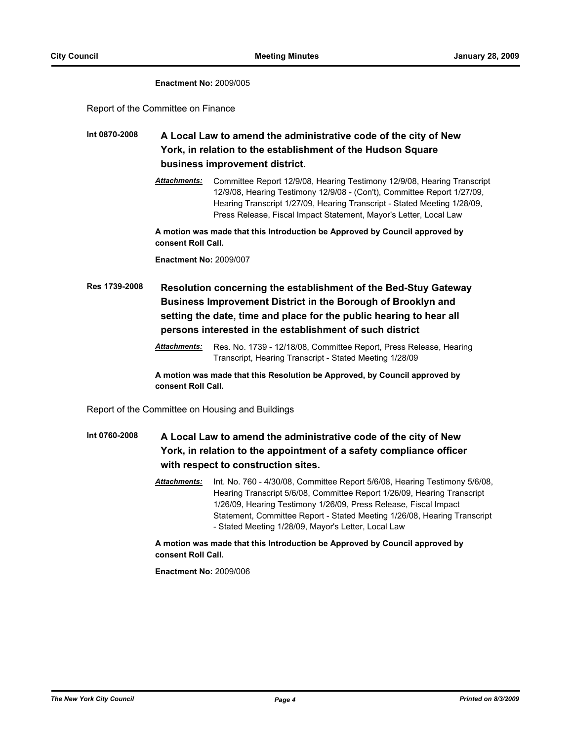#### **Enactment No:** 2009/005

Report of the Committee on Finance

- **Int 0870-2008 A Local Law to amend the administrative code of the city of New York, in relation to the establishment of the Hudson Square business improvement district.**
	- *Attachments:* Committee Report 12/9/08, Hearing Testimony 12/9/08, Hearing Transcript 12/9/08, Hearing Testimony 12/9/08 - (Con't), Committee Report 1/27/09, Hearing Transcript 1/27/09, Hearing Transcript - Stated Meeting 1/28/09, Press Release, Fiscal Impact Statement, Mayor's Letter, Local Law

**A motion was made that this Introduction be Approved by Council approved by consent Roll Call.**

**Enactment No:** 2009/007

**Res 1739-2008 Resolution concerning the establishment of the Bed-Stuy Gateway Business Improvement District in the Borough of Brooklyn and setting the date, time and place for the public hearing to hear all persons interested in the establishment of such district**

> *Attachments:* Res. No. 1739 - 12/18/08, Committee Report, Press Release, Hearing Transcript, Hearing Transcript - Stated Meeting 1/28/09

**A motion was made that this Resolution be Approved, by Council approved by consent Roll Call.**

Report of the Committee on Housing and Buildings

**Int 0760-2008 A Local Law to amend the administrative code of the city of New York, in relation to the appointment of a safety compliance officer with respect to construction sites.**

> *Attachments:* Int. No. 760 - 4/30/08, Committee Report 5/6/08, Hearing Testimony 5/6/08, Hearing Transcript 5/6/08, Committee Report 1/26/09, Hearing Transcript 1/26/09, Hearing Testimony 1/26/09, Press Release, Fiscal Impact Statement, Committee Report - Stated Meeting 1/26/08, Hearing Transcript - Stated Meeting 1/28/09, Mayor's Letter, Local Law

**A motion was made that this Introduction be Approved by Council approved by consent Roll Call.**

**Enactment No:** 2009/006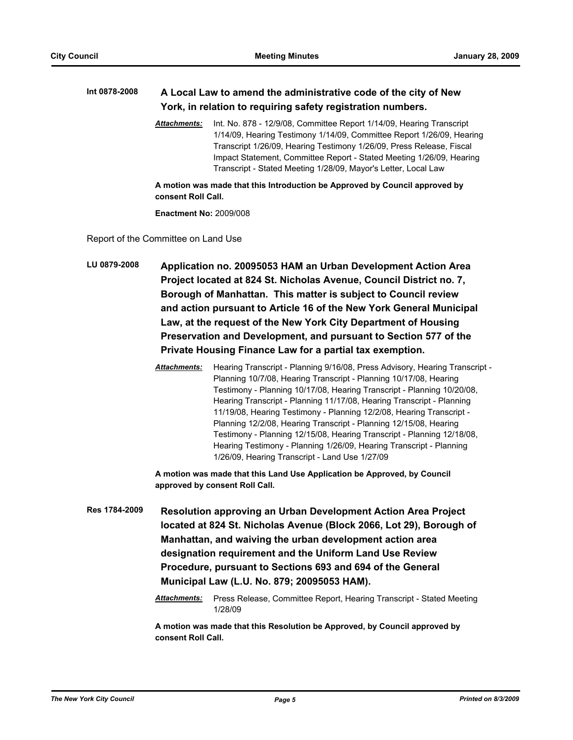### **Int 0878-2008 A Local Law to amend the administrative code of the city of New York, in relation to requiring safety registration numbers.**

*Attachments:* Int. No. 878 - 12/9/08, Committee Report 1/14/09, Hearing Transcript 1/14/09, Hearing Testimony 1/14/09, Committee Report 1/26/09, Hearing Transcript 1/26/09, Hearing Testimony 1/26/09, Press Release, Fiscal Impact Statement, Committee Report - Stated Meeting 1/26/09, Hearing Transcript - Stated Meeting 1/28/09, Mayor's Letter, Local Law

**A motion was made that this Introduction be Approved by Council approved by consent Roll Call.**

**Enactment No:** 2009/008

Report of the Committee on Land Use

**LU 0879-2008 Application no. 20095053 HAM an Urban Development Action Area Project located at 824 St. Nicholas Avenue, Council District no. 7, Borough of Manhattan. This matter is subject to Council review and action pursuant to Article 16 of the New York General Municipal Law, at the request of the New York City Department of Housing Preservation and Development, and pursuant to Section 577 of the Private Housing Finance Law for a partial tax exemption.**

> *Attachments:* Hearing Transcript - Planning 9/16/08, Press Advisory, Hearing Transcript - Planning 10/7/08, Hearing Transcript - Planning 10/17/08, Hearing Testimony - Planning 10/17/08, Hearing Transcript - Planning 10/20/08, Hearing Transcript - Planning 11/17/08, Hearing Transcript - Planning 11/19/08, Hearing Testimony - Planning 12/2/08, Hearing Transcript - Planning 12/2/08, Hearing Transcript - Planning 12/15/08, Hearing Testimony - Planning 12/15/08, Hearing Transcript - Planning 12/18/08, Hearing Testimony - Planning 1/26/09, Hearing Transcript - Planning 1/26/09, Hearing Transcript - Land Use 1/27/09

**A motion was made that this Land Use Application be Approved, by Council approved by consent Roll Call.**

**Res 1784-2009 Resolution approving an Urban Development Action Area Project located at 824 St. Nicholas Avenue (Block 2066, Lot 29), Borough of Manhattan, and waiving the urban development action area designation requirement and the Uniform Land Use Review Procedure, pursuant to Sections 693 and 694 of the General Municipal Law (L.U. No. 879; 20095053 HAM).**

> *Attachments:* Press Release, Committee Report, Hearing Transcript - Stated Meeting 1/28/09

**A motion was made that this Resolution be Approved, by Council approved by consent Roll Call.**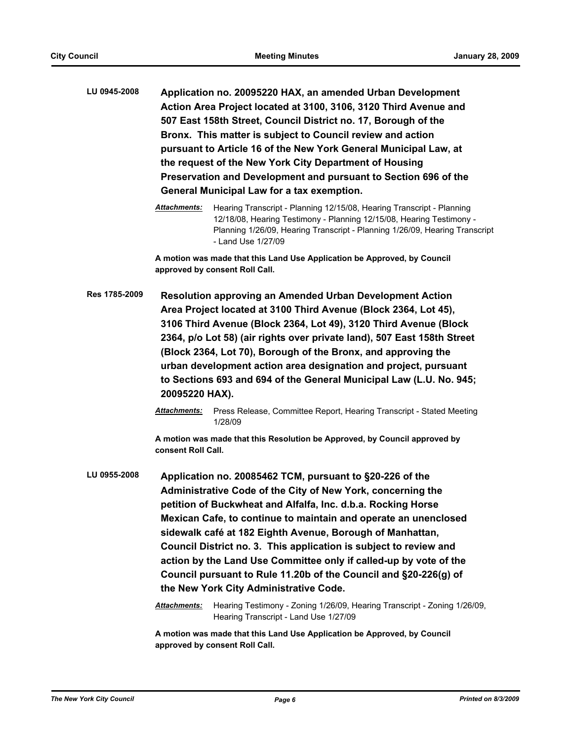**LU 0945-2008 Application no. 20095220 HAX, an amended Urban Development Action Area Project located at 3100, 3106, 3120 Third Avenue and 507 East 158th Street, Council District no. 17, Borough of the Bronx. This matter is subject to Council review and action pursuant to Article 16 of the New York General Municipal Law, at the request of the New York City Department of Housing Preservation and Development and pursuant to Section 696 of the General Municipal Law for a tax exemption.**

**A motion was made that this Land Use Application be Approved, by Council approved by consent Roll Call.**

- **Res 1785-2009 Resolution approving an Amended Urban Development Action Area Project located at 3100 Third Avenue (Block 2364, Lot 45), 3106 Third Avenue (Block 2364, Lot 49), 3120 Third Avenue (Block 2364, p/o Lot 58) (air rights over private land), 507 East 158th Street (Block 2364, Lot 70), Borough of the Bronx, and approving the urban development action area designation and project, pursuant to Sections 693 and 694 of the General Municipal Law (L.U. No. 945; 20095220 HAX).**
	- *Attachments:* Press Release, Committee Report, Hearing Transcript Stated Meeting 1/28/09

**A motion was made that this Resolution be Approved, by Council approved by consent Roll Call.**

**LU 0955-2008 Application no. 20085462 TCM, pursuant to §20-226 of the Administrative Code of the City of New York, concerning the petition of Buckwheat and Alfalfa, Inc. d.b.a. Rocking Horse Mexican Cafe, to continue to maintain and operate an unenclosed sidewalk café at 182 Eighth Avenue, Borough of Manhattan, Council District no. 3. This application is subject to review and action by the Land Use Committee only if called-up by vote of the Council pursuant to Rule 11.20b of the Council and §20-226(g) of the New York City Administrative Code.**

> *Attachments:* Hearing Testimony - Zoning 1/26/09, Hearing Transcript - Zoning 1/26/09, Hearing Transcript - Land Use 1/27/09

**A motion was made that this Land Use Application be Approved, by Council approved by consent Roll Call.**

*Attachments:* Hearing Transcript - Planning 12/15/08, Hearing Transcript - Planning 12/18/08, Hearing Testimony - Planning 12/15/08, Hearing Testimony - Planning 1/26/09, Hearing Transcript - Planning 1/26/09, Hearing Transcript - Land Use 1/27/09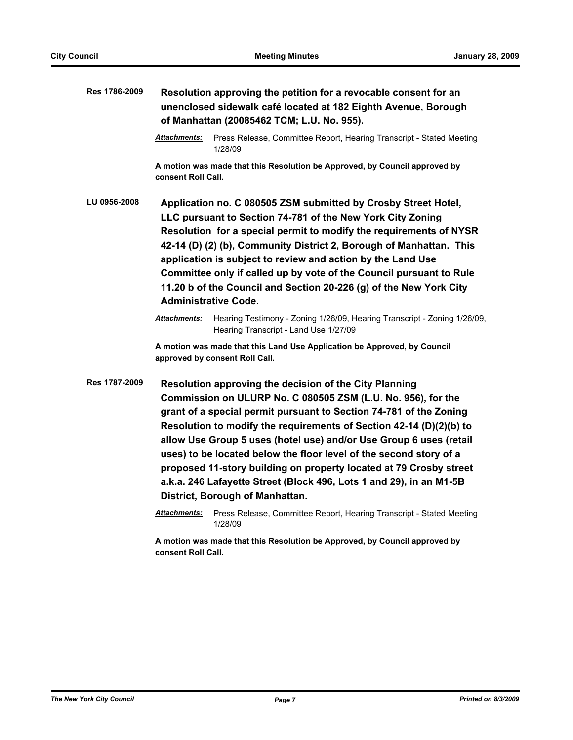| Res 1786-2009 | Resolution approving the petition for a revocable consent for an<br>unenclosed sidewalk café located at 182 Eighth Avenue, Borough<br>of Manhattan (20085462 TCM; L.U. No. 955).                                                                                                                                                                                                                                                                                                                                                                                                                |                                                                                                                   |
|---------------|-------------------------------------------------------------------------------------------------------------------------------------------------------------------------------------------------------------------------------------------------------------------------------------------------------------------------------------------------------------------------------------------------------------------------------------------------------------------------------------------------------------------------------------------------------------------------------------------------|-------------------------------------------------------------------------------------------------------------------|
|               | Attachments:                                                                                                                                                                                                                                                                                                                                                                                                                                                                                                                                                                                    | Press Release, Committee Report, Hearing Transcript - Stated Meeting<br>1/28/09                                   |
|               | consent Roll Call.                                                                                                                                                                                                                                                                                                                                                                                                                                                                                                                                                                              | A motion was made that this Resolution be Approved, by Council approved by                                        |
| LU 0956-2008  | Application no. C 080505 ZSM submitted by Crosby Street Hotel,<br>LLC pursuant to Section 74-781 of the New York City Zoning<br>Resolution for a special permit to modify the requirements of NYSR<br>42-14 (D) (2) (b), Community District 2, Borough of Manhattan. This<br>application is subject to review and action by the Land Use<br>Committee only if called up by vote of the Council pursuant to Rule<br>11.20 b of the Council and Section 20-226 (g) of the New York City<br><b>Administrative Code.</b>                                                                            |                                                                                                                   |
|               | Attachments:                                                                                                                                                                                                                                                                                                                                                                                                                                                                                                                                                                                    | Hearing Testimony - Zoning 1/26/09, Hearing Transcript - Zoning 1/26/09,<br>Hearing Transcript - Land Use 1/27/09 |
|               |                                                                                                                                                                                                                                                                                                                                                                                                                                                                                                                                                                                                 | A motion was made that this Land Use Application be Approved, by Council<br>approved by consent Roll Call.        |
| Res 1787-2009 | Resolution approving the decision of the City Planning<br>Commission on ULURP No. C 080505 ZSM (L.U. No. 956), for the<br>grant of a special permit pursuant to Section 74-781 of the Zoning<br>Resolution to modify the requirements of Section 42-14 (D)(2)(b) to<br>allow Use Group 5 uses (hotel use) and/or Use Group 6 uses (retail<br>uses) to be located below the floor level of the second story of a<br>proposed 11-story building on property located at 79 Crosby street<br>a.k.a. 246 Lafayette Street (Block 496, Lots 1 and 29), in an M1-5B<br>District, Borough of Manhattan. |                                                                                                                   |
|               | <b>Attachments:</b>                                                                                                                                                                                                                                                                                                                                                                                                                                                                                                                                                                             | Press Release, Committee Report, Hearing Transcript - Stated Meeting<br>1/28/09                                   |
|               | consent Roll Call.                                                                                                                                                                                                                                                                                                                                                                                                                                                                                                                                                                              | A motion was made that this Resolution be Approved, by Council approved by                                        |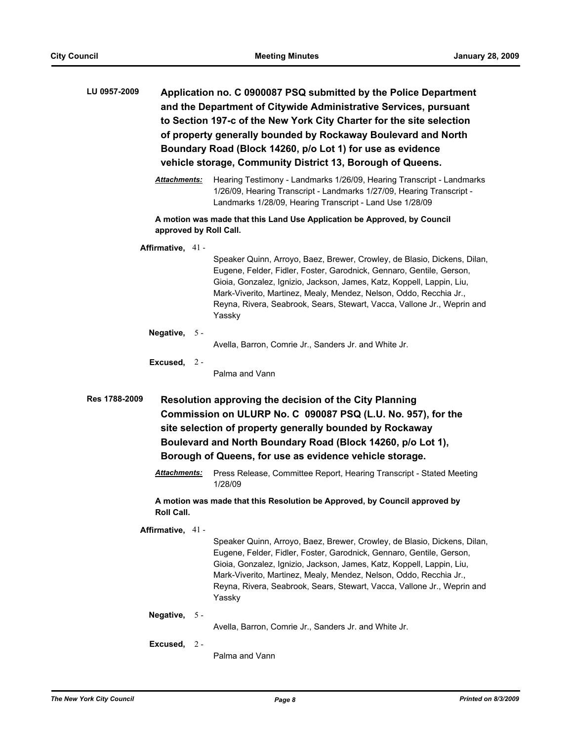| LU 0957-2009 | Application no. C 0900087 PSQ submitted by the Police Department     |
|--------------|----------------------------------------------------------------------|
|              | and the Department of Citywide Administrative Services, pursuant     |
|              | to Section 197-c of the New York City Charter for the site selection |
|              | of property generally bounded by Rockaway Boulevard and North        |
|              | Boundary Road (Block 14260, p/o Lot 1) for use as evidence           |
|              | vehicle storage, Community District 13, Borough of Queens.           |

*Attachments:* Hearing Testimony - Landmarks 1/26/09, Hearing Transcript - Landmarks 1/26/09, Hearing Transcript - Landmarks 1/27/09, Hearing Transcript - Landmarks 1/28/09, Hearing Transcript - Land Use 1/28/09

**A motion was made that this Land Use Application be Approved, by Council approved by Roll Call.**

#### **Affirmative,** 41 -

Speaker Quinn, Arroyo, Baez, Brewer, Crowley, de Blasio, Dickens, Dilan, Eugene, Felder, Fidler, Foster, Garodnick, Gennaro, Gentile, Gerson, Gioia, Gonzalez, Ignizio, Jackson, James, Katz, Koppell, Lappin, Liu, Mark-Viverito, Martinez, Mealy, Mendez, Nelson, Oddo, Recchia Jr., Reyna, Rivera, Seabrook, Sears, Stewart, Vacca, Vallone Jr., Weprin and Yassky

#### **Negative,** 5 -

Avella, Barron, Comrie Jr., Sanders Jr. and White Jr.

**Excused,** 2 - Palma and Vann

**Res 1788-2009 Resolution approving the decision of the City Planning Commission on ULURP No. C 090087 PSQ (L.U. No. 957), for the site selection of property generally bounded by Rockaway Boulevard and North Boundary Road (Block 14260, p/o Lot 1), Borough of Queens, for use as evidence vehicle storage.**

> Attachments: Press Release, Committee Report, Hearing Transcript - Stated Meeting 1/28/09

**A motion was made that this Resolution be Approved, by Council approved by Roll Call.**

**Affirmative,** 41 -

Speaker Quinn, Arroyo, Baez, Brewer, Crowley, de Blasio, Dickens, Dilan, Eugene, Felder, Fidler, Foster, Garodnick, Gennaro, Gentile, Gerson, Gioia, Gonzalez, Ignizio, Jackson, James, Katz, Koppell, Lappin, Liu, Mark-Viverito, Martinez, Mealy, Mendez, Nelson, Oddo, Recchia Jr., Reyna, Rivera, Seabrook, Sears, Stewart, Vacca, Vallone Jr., Weprin and Yassky

#### **Negative,** 5 -

Avella, Barron, Comrie Jr., Sanders Jr. and White Jr.

**Excused,** 2 -

Palma and Vann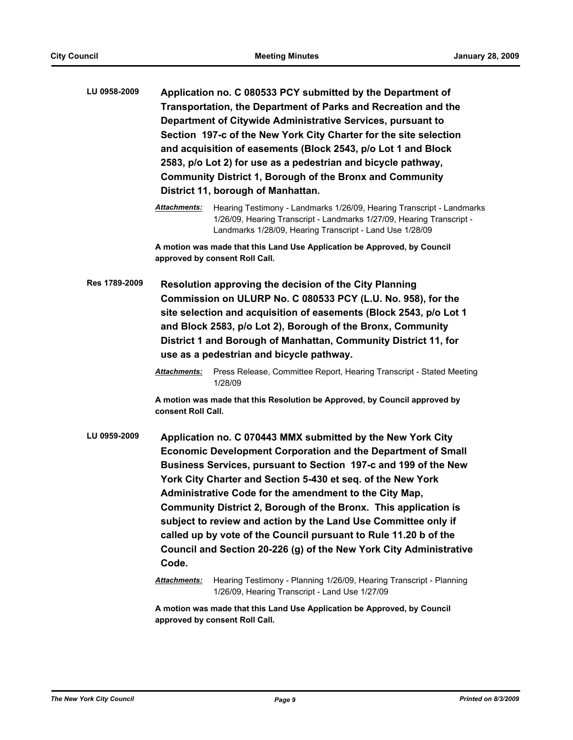| LU 0958-2009 | Application no. C 080533 PCY submitted by the Department of       |
|--------------|-------------------------------------------------------------------|
|              | Transportation, the Department of Parks and Recreation and the    |
|              | Department of Citywide Administrative Services, pursuant to       |
|              | Section 197-c of the New York City Charter for the site selection |
|              | and acquisition of easements (Block 2543, p/o Lot 1 and Block     |
|              | 2583, p/o Lot 2) for use as a pedestrian and bicycle pathway,     |
|              | <b>Community District 1, Borough of the Bronx and Community</b>   |
|              | District 11, borough of Manhattan.                                |

**A motion was made that this Land Use Application be Approved, by Council approved by consent Roll Call.**

**Res 1789-2009 Resolution approving the decision of the City Planning Commission on ULURP No. C 080533 PCY (L.U. No. 958), for the site selection and acquisition of easements (Block 2543, p/o Lot 1 and Block 2583, p/o Lot 2), Borough of the Bronx, Community District 1 and Borough of Manhattan, Community District 11, for use as a pedestrian and bicycle pathway.**

**LU 0959-2009 Application no. C 070443 MMX submitted by the New York City Economic Development Corporation and the Department of Small Business Services, pursuant to Section 197-c and 199 of the New York City Charter and Section 5-430 et seq. of the New York Administrative Code for the amendment to the City Map, Community District 2, Borough of the Bronx. This application is subject to review and action by the Land Use Committee only if called up by vote of the Council pursuant to Rule 11.20 b of the Council and Section 20-226 (g) of the New York City Administrative Code.**

> *Attachments:* Hearing Testimony - Planning 1/26/09, Hearing Transcript - Planning 1/26/09, Hearing Transcript - Land Use 1/27/09

**A motion was made that this Land Use Application be Approved, by Council approved by consent Roll Call.**

*Attachments:* Hearing Testimony - Landmarks 1/26/09, Hearing Transcript - Landmarks 1/26/09, Hearing Transcript - Landmarks 1/27/09, Hearing Transcript - Landmarks 1/28/09, Hearing Transcript - Land Use 1/28/09

*Attachments:* Press Release, Committee Report, Hearing Transcript - Stated Meeting 1/28/09

**A motion was made that this Resolution be Approved, by Council approved by consent Roll Call.**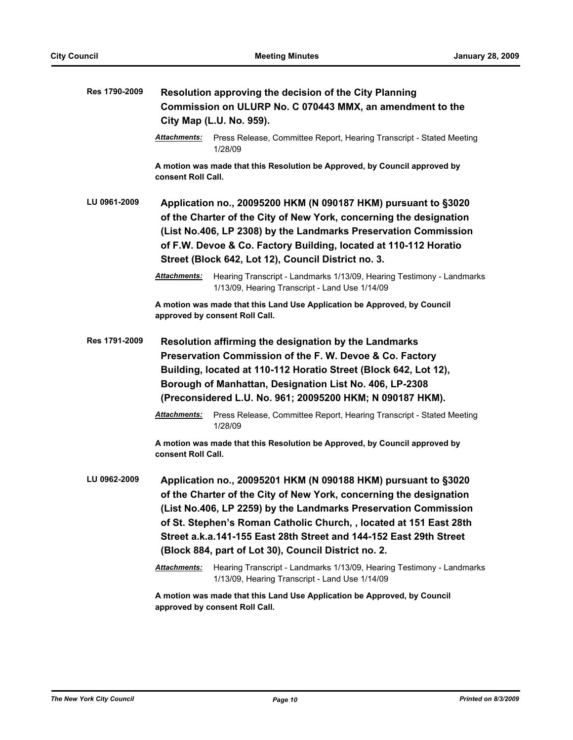| Res 1790-2009 | Resolution approving the decision of the City Planning                                                                                                                                                                                                                                                                                                                                                      |                                                                                                                         |  |
|---------------|-------------------------------------------------------------------------------------------------------------------------------------------------------------------------------------------------------------------------------------------------------------------------------------------------------------------------------------------------------------------------------------------------------------|-------------------------------------------------------------------------------------------------------------------------|--|
|               | Commission on ULURP No. C 070443 MMX, an amendment to the                                                                                                                                                                                                                                                                                                                                                   |                                                                                                                         |  |
|               |                                                                                                                                                                                                                                                                                                                                                                                                             | City Map (L.U. No. 959).                                                                                                |  |
|               | <b>Attachments:</b>                                                                                                                                                                                                                                                                                                                                                                                         | Press Release, Committee Report, Hearing Transcript - Stated Meeting<br>1/28/09                                         |  |
|               | consent Roll Call.                                                                                                                                                                                                                                                                                                                                                                                          | A motion was made that this Resolution be Approved, by Council approved by                                              |  |
| LU 0961-2009  | Application no., 20095200 HKM (N 090187 HKM) pursuant to §3020<br>of the Charter of the City of New York, concerning the designation<br>(List No.406, LP 2308) by the Landmarks Preservation Commission<br>of F.W. Devoe & Co. Factory Building, located at 110-112 Horatio<br>Street (Block 642, Lot 12), Council District no. 3.                                                                          |                                                                                                                         |  |
|               | <b>Attachments:</b>                                                                                                                                                                                                                                                                                                                                                                                         | Hearing Transcript - Landmarks 1/13/09, Hearing Testimony - Landmarks<br>1/13/09, Hearing Transcript - Land Use 1/14/09 |  |
|               |                                                                                                                                                                                                                                                                                                                                                                                                             | A motion was made that this Land Use Application be Approved, by Council<br>approved by consent Roll Call.              |  |
| Res 1791-2009 |                                                                                                                                                                                                                                                                                                                                                                                                             | Resolution affirming the designation by the Landmarks                                                                   |  |
|               |                                                                                                                                                                                                                                                                                                                                                                                                             | Preservation Commission of the F. W. Devoe & Co. Factory                                                                |  |
|               |                                                                                                                                                                                                                                                                                                                                                                                                             | Building, located at 110-112 Horatio Street (Block 642, Lot 12),                                                        |  |
|               | Borough of Manhattan, Designation List No. 406, LP-2308                                                                                                                                                                                                                                                                                                                                                     |                                                                                                                         |  |
|               |                                                                                                                                                                                                                                                                                                                                                                                                             | (Preconsidered L.U. No. 961; 20095200 HKM; N 090187 HKM).                                                               |  |
|               | <b>Attachments:</b>                                                                                                                                                                                                                                                                                                                                                                                         | Press Release, Committee Report, Hearing Transcript - Stated Meeting<br>1/28/09                                         |  |
|               | consent Roll Call.                                                                                                                                                                                                                                                                                                                                                                                          | A motion was made that this Resolution be Approved, by Council approved by                                              |  |
| LU 0962-2009  | Application no., 20095201 HKM (N 090188 HKM) pursuant to §3020<br>of the Charter of the City of New York, concerning the designation<br>(List No.406, LP 2259) by the Landmarks Preservation Commission<br>of St. Stephen's Roman Catholic Church, , located at 151 East 28th<br>Street a.k.a.141-155 East 28th Street and 144-152 East 29th Street<br>(Block 884, part of Lot 30), Council District no. 2. |                                                                                                                         |  |
|               | <u>Attachments:</u>                                                                                                                                                                                                                                                                                                                                                                                         | Hearing Transcript - Landmarks 1/13/09, Hearing Testimony - Landmarks<br>1/13/09, Hearing Transcript - Land Use 1/14/09 |  |
|               |                                                                                                                                                                                                                                                                                                                                                                                                             | A motion was made that this Land Use Application be Approved, by Council                                                |  |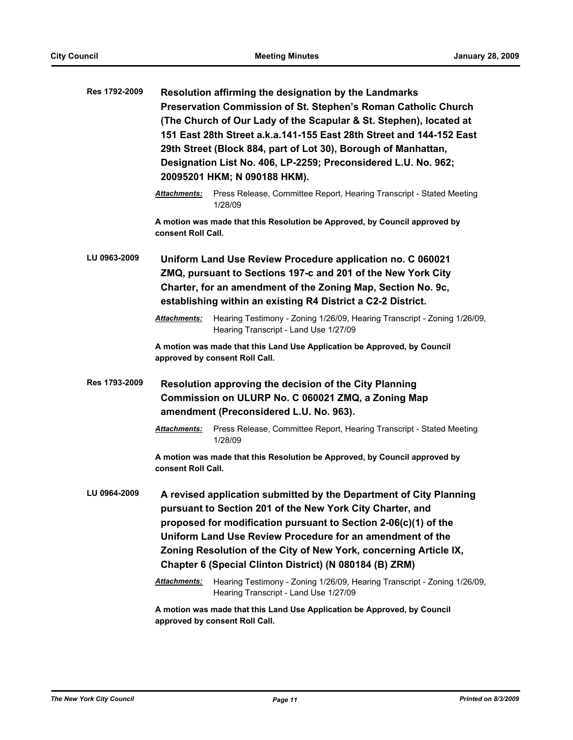| Res 1792-2009 | Resolution affirming the designation by the Landmarks<br>Preservation Commission of St. Stephen's Roman Catholic Church<br>(The Church of Our Lady of the Scapular & St. Stephen), located at<br>151 East 28th Street a.k.a.141-155 East 28th Street and 144-152 East<br>29th Street (Block 884, part of Lot 30), Borough of Manhattan,<br>Designation List No. 406, LP-2259; Preconsidered L.U. No. 962;<br>20095201 HKM; N 090188 HKM). |                                                                                                                                                                                                                                                                                                                                                                                                 |  |
|---------------|-------------------------------------------------------------------------------------------------------------------------------------------------------------------------------------------------------------------------------------------------------------------------------------------------------------------------------------------------------------------------------------------------------------------------------------------|-------------------------------------------------------------------------------------------------------------------------------------------------------------------------------------------------------------------------------------------------------------------------------------------------------------------------------------------------------------------------------------------------|--|
|               | Attachments:                                                                                                                                                                                                                                                                                                                                                                                                                              | Press Release, Committee Report, Hearing Transcript - Stated Meeting<br>1/28/09                                                                                                                                                                                                                                                                                                                 |  |
|               | consent Roll Call.                                                                                                                                                                                                                                                                                                                                                                                                                        | A motion was made that this Resolution be Approved, by Council approved by                                                                                                                                                                                                                                                                                                                      |  |
| LU 0963-2009  | Uniform Land Use Review Procedure application no. C 060021<br>ZMQ, pursuant to Sections 197-c and 201 of the New York City<br>Charter, for an amendment of the Zoning Map, Section No. 9c,<br>establishing within an existing R4 District a C2-2 District.                                                                                                                                                                                |                                                                                                                                                                                                                                                                                                                                                                                                 |  |
|               | <b>Attachments:</b>                                                                                                                                                                                                                                                                                                                                                                                                                       | Hearing Testimony - Zoning 1/26/09, Hearing Transcript - Zoning 1/26/09,<br>Hearing Transcript - Land Use 1/27/09                                                                                                                                                                                                                                                                               |  |
|               |                                                                                                                                                                                                                                                                                                                                                                                                                                           | A motion was made that this Land Use Application be Approved, by Council<br>approved by consent Roll Call.                                                                                                                                                                                                                                                                                      |  |
| Res 1793-2009 | Resolution approving the decision of the City Planning<br>Commission on ULURP No. C 060021 ZMQ, a Zoning Map<br>amendment (Preconsidered L.U. No. 963).                                                                                                                                                                                                                                                                                   |                                                                                                                                                                                                                                                                                                                                                                                                 |  |
|               | <b>Attachments:</b>                                                                                                                                                                                                                                                                                                                                                                                                                       | Press Release, Committee Report, Hearing Transcript - Stated Meeting<br>1/28/09                                                                                                                                                                                                                                                                                                                 |  |
|               | A motion was made that this Resolution be Approved, by Council approved by<br>consent Roll Call.                                                                                                                                                                                                                                                                                                                                          |                                                                                                                                                                                                                                                                                                                                                                                                 |  |
| LU 0964-2009  |                                                                                                                                                                                                                                                                                                                                                                                                                                           | A revised application submitted by the Department of City Planning<br>pursuant to Section 201 of the New York City Charter, and<br>proposed for modification pursuant to Section 2-06(c)(1) of the<br>Uniform Land Use Review Procedure for an amendment of the<br>Zoning Resolution of the City of New York, concerning Article IX,<br>Chapter 6 (Special Clinton District) (N 080184 (B) ZRM) |  |
|               | <u> Attachments:</u>                                                                                                                                                                                                                                                                                                                                                                                                                      | Hearing Testimony - Zoning 1/26/09, Hearing Transcript - Zoning 1/26/09,<br>Hearing Transcript - Land Use 1/27/09                                                                                                                                                                                                                                                                               |  |
|               | A motion was made that this Land Use Application be Approved, by Council<br>approved by consent Roll Call.                                                                                                                                                                                                                                                                                                                                |                                                                                                                                                                                                                                                                                                                                                                                                 |  |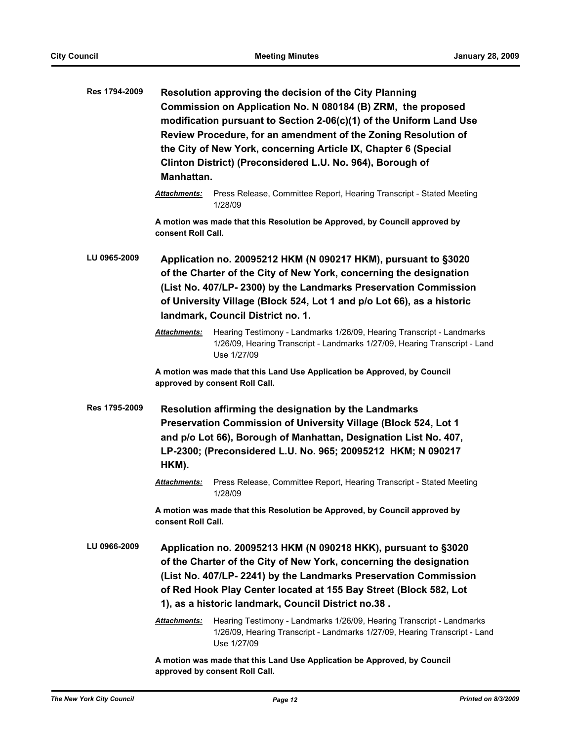| Res 1794-2009 | Manhattan.           | Resolution approving the decision of the City Planning<br>Commission on Application No. N 080184 (B) ZRM, the proposed<br>modification pursuant to Section 2-06(c)(1) of the Uniform Land Use<br>Review Procedure, for an amendment of the Zoning Resolution of<br>the City of New York, concerning Article IX, Chapter 6 (Special<br>Clinton District) (Preconsidered L.U. No. 964), Borough of |
|---------------|----------------------|--------------------------------------------------------------------------------------------------------------------------------------------------------------------------------------------------------------------------------------------------------------------------------------------------------------------------------------------------------------------------------------------------|
|               | <b>Attachments:</b>  | Press Release, Committee Report, Hearing Transcript - Stated Meeting<br>1/28/09                                                                                                                                                                                                                                                                                                                  |
|               | consent Roll Call.   | A motion was made that this Resolution be Approved, by Council approved by                                                                                                                                                                                                                                                                                                                       |
| LU 0965-2009  |                      | Application no. 20095212 HKM (N 090217 HKM), pursuant to §3020<br>of the Charter of the City of New York, concerning the designation<br>(List No. 407/LP-2300) by the Landmarks Preservation Commission<br>of University Village (Block 524, Lot 1 and p/o Lot 66), as a historic<br>landmark, Council District no. 1.                                                                           |
|               | Attachments:         | Hearing Testimony - Landmarks 1/26/09, Hearing Transcript - Landmarks<br>1/26/09, Hearing Transcript - Landmarks 1/27/09, Hearing Transcript - Land<br>Use 1/27/09                                                                                                                                                                                                                               |
|               |                      | A motion was made that this Land Use Application be Approved, by Council<br>approved by consent Roll Call.                                                                                                                                                                                                                                                                                       |
| Res 1795-2009 | HKM).                | Resolution affirming the designation by the Landmarks<br>Preservation Commission of University Village (Block 524, Lot 1<br>and p/o Lot 66), Borough of Manhattan, Designation List No. 407,<br>LP-2300; (Preconsidered L.U. No. 965; 20095212 HKM; N 090217                                                                                                                                     |
|               | <u> Attachments:</u> | Press Release, Committee Report, Hearing Transcript - Stated Meeting<br>1/28/09                                                                                                                                                                                                                                                                                                                  |
|               | consent Roll Call.   | A motion was made that this Resolution be Approved, by Council approved by                                                                                                                                                                                                                                                                                                                       |
| LU 0966-2009  |                      | Application no. 20095213 HKM (N 090218 HKK), pursuant to §3020<br>of the Charter of the City of New York, concerning the designation<br>(List No. 407/LP- 2241) by the Landmarks Preservation Commission<br>of Red Hook Play Center located at 155 Bay Street (Block 582, Lot<br>1), as a historic landmark, Council District no.38.                                                             |
|               | <b>Attachments:</b>  | Hearing Testimony - Landmarks 1/26/09, Hearing Transcript - Landmarks<br>1/26/09, Hearing Transcript - Landmarks 1/27/09, Hearing Transcript - Land<br>Use 1/27/09                                                                                                                                                                                                                               |
|               |                      | A motion was made that this Land Use Application be Approved, by Council                                                                                                                                                                                                                                                                                                                         |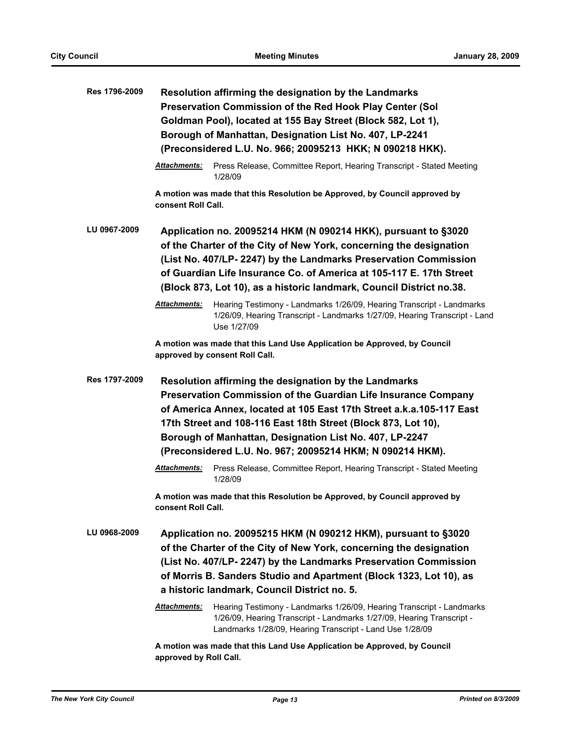| Res 1796-2009 |                        | Resolution affirming the designation by the Landmarks<br>Preservation Commission of the Red Hook Play Center (Sol<br>Goldman Pool), located at 155 Bay Street (Block 582, Lot 1),<br>Borough of Manhattan, Designation List No. 407, LP-2241<br>(Preconsidered L.U. No. 966; 20095213 HKK; N 090218 HKK).                                                                                |
|---------------|------------------------|------------------------------------------------------------------------------------------------------------------------------------------------------------------------------------------------------------------------------------------------------------------------------------------------------------------------------------------------------------------------------------------|
|               | <b>Attachments:</b>    | Press Release, Committee Report, Hearing Transcript - Stated Meeting<br>1/28/09                                                                                                                                                                                                                                                                                                          |
|               | consent Roll Call.     | A motion was made that this Resolution be Approved, by Council approved by                                                                                                                                                                                                                                                                                                               |
| LU 0967-2009  |                        | Application no. 20095214 HKM (N 090214 HKK), pursuant to §3020<br>of the Charter of the City of New York, concerning the designation<br>(List No. 407/LP- 2247) by the Landmarks Preservation Commission<br>of Guardian Life Insurance Co. of America at 105-117 E. 17th Street<br>(Block 873, Lot 10), as a historic landmark, Council District no.38.                                  |
|               | <b>Attachments:</b>    | Hearing Testimony - Landmarks 1/26/09, Hearing Transcript - Landmarks<br>1/26/09, Hearing Transcript - Landmarks 1/27/09, Hearing Transcript - Land<br>Use 1/27/09                                                                                                                                                                                                                       |
|               |                        | A motion was made that this Land Use Application be Approved, by Council<br>approved by consent Roll Call.                                                                                                                                                                                                                                                                               |
| Res 1797-2009 |                        | Resolution affirming the designation by the Landmarks<br>Preservation Commission of the Guardian Life Insurance Company<br>of America Annex, located at 105 East 17th Street a.k.a.105-117 East<br>17th Street and 108-116 East 18th Street (Block 873, Lot 10),<br>Borough of Manhattan, Designation List No. 407, LP-2247<br>(Preconsidered L.U. No. 967; 20095214 HKM; N 090214 HKM). |
|               | <b>Attachments:</b>    | Press Release, Committee Report, Hearing Transcript - Stated Meeting<br>1/28/09                                                                                                                                                                                                                                                                                                          |
|               | consent Roll Call.     | A motion was made that this Resolution be Approved, by Council approved by                                                                                                                                                                                                                                                                                                               |
| LU 0968-2009  |                        | Application no. 20095215 HKM (N 090212 HKM), pursuant to §3020<br>of the Charter of the City of New York, concerning the designation<br>(List No. 407/LP- 2247) by the Landmarks Preservation Commission<br>of Morris B. Sanders Studio and Apartment (Block 1323, Lot 10), as<br>a historic landmark, Council District no. 5.                                                           |
|               | <b>Attachments:</b>    | Hearing Testimony - Landmarks 1/26/09, Hearing Transcript - Landmarks<br>1/26/09, Hearing Transcript - Landmarks 1/27/09, Hearing Transcript -<br>Landmarks 1/28/09, Hearing Transcript - Land Use 1/28/09                                                                                                                                                                               |
|               | approved by Roll Call. | A motion was made that this Land Use Application be Approved, by Council                                                                                                                                                                                                                                                                                                                 |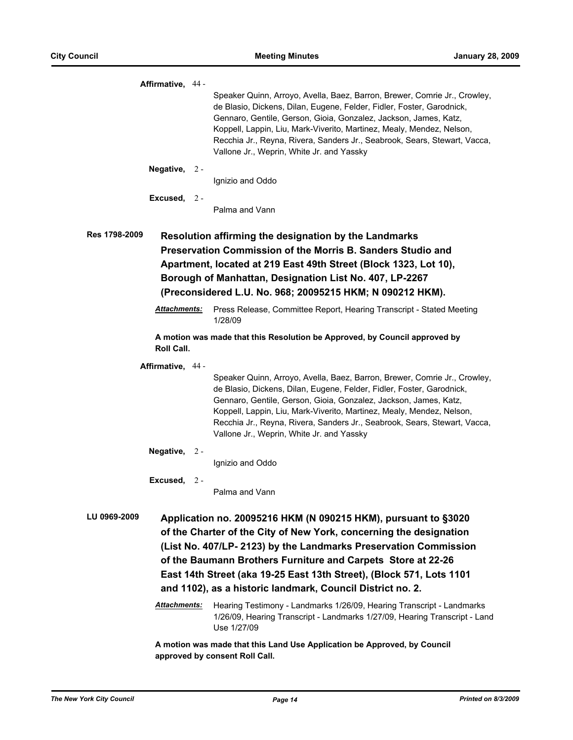| Affirmative, 44 -                                                                                                                                                                                                                                                                                                                                                                                                              |       |                                                                                                                                                                                                                                                                                                                                                                                                                           |
|--------------------------------------------------------------------------------------------------------------------------------------------------------------------------------------------------------------------------------------------------------------------------------------------------------------------------------------------------------------------------------------------------------------------------------|-------|---------------------------------------------------------------------------------------------------------------------------------------------------------------------------------------------------------------------------------------------------------------------------------------------------------------------------------------------------------------------------------------------------------------------------|
|                                                                                                                                                                                                                                                                                                                                                                                                                                |       | Speaker Quinn, Arroyo, Avella, Baez, Barron, Brewer, Comrie Jr., Crowley,<br>de Blasio, Dickens, Dilan, Eugene, Felder, Fidler, Foster, Garodnick,<br>Gennaro, Gentile, Gerson, Gioia, Gonzalez, Jackson, James, Katz,<br>Koppell, Lappin, Liu, Mark-Viverito, Martinez, Mealy, Mendez, Nelson,<br>Recchia Jr., Reyna, Rivera, Sanders Jr., Seabrook, Sears, Stewart, Vacca,<br>Vallone Jr., Weprin, White Jr. and Yassky |
| Negative, $2 -$                                                                                                                                                                                                                                                                                                                                                                                                                |       |                                                                                                                                                                                                                                                                                                                                                                                                                           |
|                                                                                                                                                                                                                                                                                                                                                                                                                                |       | Ignizio and Oddo                                                                                                                                                                                                                                                                                                                                                                                                          |
| Excused, $2 -$                                                                                                                                                                                                                                                                                                                                                                                                                 |       | Palma and Vann                                                                                                                                                                                                                                                                                                                                                                                                            |
| Res 1798-2009                                                                                                                                                                                                                                                                                                                                                                                                                  |       | Resolution affirming the designation by the Landmarks<br>Preservation Commission of the Morris B. Sanders Studio and<br>Apartment, located at 219 East 49th Street (Block 1323, Lot 10),<br>Borough of Manhattan, Designation List No. 407, LP-2267<br>(Preconsidered L.U. No. 968; 20095215 HKM; N 090212 HKM).                                                                                                          |
| <u> Attachments:</u>                                                                                                                                                                                                                                                                                                                                                                                                           |       | Press Release, Committee Report, Hearing Transcript - Stated Meeting<br>1/28/09                                                                                                                                                                                                                                                                                                                                           |
| Roll Call.                                                                                                                                                                                                                                                                                                                                                                                                                     |       | A motion was made that this Resolution be Approved, by Council approved by                                                                                                                                                                                                                                                                                                                                                |
| Affirmative, 44 -                                                                                                                                                                                                                                                                                                                                                                                                              |       | Speaker Quinn, Arroyo, Avella, Baez, Barron, Brewer, Comrie Jr., Crowley,<br>de Blasio, Dickens, Dilan, Eugene, Felder, Fidler, Foster, Garodnick,<br>Gennaro, Gentile, Gerson, Gioia, Gonzalez, Jackson, James, Katz,<br>Koppell, Lappin, Liu, Mark-Viverito, Martinez, Mealy, Mendez, Nelson,<br>Recchia Jr., Reyna, Rivera, Sanders Jr., Seabrook, Sears, Stewart, Vacca,<br>Vallone Jr., Weprin, White Jr. and Yassky |
| Negative,                                                                                                                                                                                                                                                                                                                                                                                                                      | $2 -$ | Ignizio and Oddo                                                                                                                                                                                                                                                                                                                                                                                                          |
| Excused,                                                                                                                                                                                                                                                                                                                                                                                                                       | $2 -$ | Palma and Vann                                                                                                                                                                                                                                                                                                                                                                                                            |
| LU 0969-2009<br>Application no. 20095216 HKM (N 090215 HKM), pursuant to §3020<br>of the Charter of the City of New York, concerning the designation<br>(List No. 407/LP- 2123) by the Landmarks Preservation Commission<br>of the Baumann Brothers Furniture and Carpets Store at 22-26<br>East 14th Street (aka 19-25 East 13th Street), (Block 571, Lots 1101<br>and 1102), as a historic landmark, Council District no. 2. |       |                                                                                                                                                                                                                                                                                                                                                                                                                           |
| <u> Attachments:</u>                                                                                                                                                                                                                                                                                                                                                                                                           |       | Hearing Testimony - Landmarks 1/26/09, Hearing Transcript - Landmarks<br>1/26/09, Hearing Transcript - Landmarks 1/27/09, Hearing Transcript - Land<br>Use 1/27/09                                                                                                                                                                                                                                                        |
|                                                                                                                                                                                                                                                                                                                                                                                                                                |       | A motion was made that this Land Use Application be Approved, by Council                                                                                                                                                                                                                                                                                                                                                  |

**approved by consent Roll Call.**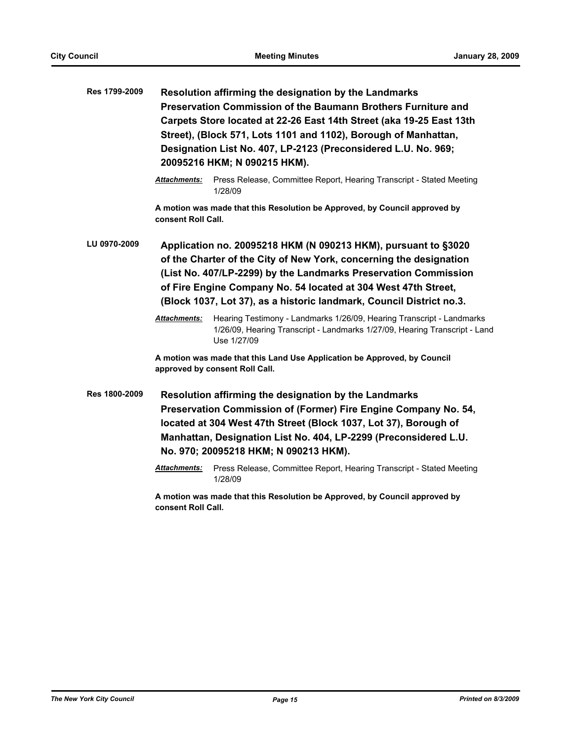| Res 1799-2009 | Resolution affirming the designation by the Landmarks<br>Preservation Commission of the Baumann Brothers Furniture and<br>Carpets Store located at 22-26 East 14th Street (aka 19-25 East 13th<br>Street), (Block 571, Lots 1101 and 1102), Borough of Manhattan,<br>Designation List No. 407, LP-2123 (Preconsidered L.U. No. 969;<br>20095216 HKM; N 090215 HKM). |                                                                                                                                                                                                                                                                                                           |  |
|---------------|---------------------------------------------------------------------------------------------------------------------------------------------------------------------------------------------------------------------------------------------------------------------------------------------------------------------------------------------------------------------|-----------------------------------------------------------------------------------------------------------------------------------------------------------------------------------------------------------------------------------------------------------------------------------------------------------|--|
|               | <b>Attachments:</b>                                                                                                                                                                                                                                                                                                                                                 | Press Release, Committee Report, Hearing Transcript - Stated Meeting<br>1/28/09                                                                                                                                                                                                                           |  |
|               | consent Roll Call.                                                                                                                                                                                                                                                                                                                                                  | A motion was made that this Resolution be Approved, by Council approved by                                                                                                                                                                                                                                |  |
| LU 0970-2009  | Application no. 20095218 HKM (N 090213 HKM), pursuant to §3020<br>of the Charter of the City of New York, concerning the designation<br>(List No. 407/LP-2299) by the Landmarks Preservation Commission<br>of Fire Engine Company No. 54 located at 304 West 47th Street,<br>(Block 1037, Lot 37), as a historic landmark, Council District no.3.                   |                                                                                                                                                                                                                                                                                                           |  |
|               | Attachments:                                                                                                                                                                                                                                                                                                                                                        | Hearing Testimony - Landmarks 1/26/09, Hearing Transcript - Landmarks<br>1/26/09, Hearing Transcript - Landmarks 1/27/09, Hearing Transcript - Land<br>Use 1/27/09                                                                                                                                        |  |
|               | A motion was made that this Land Use Application be Approved, by Council<br>approved by consent Roll Call.                                                                                                                                                                                                                                                          |                                                                                                                                                                                                                                                                                                           |  |
| Res 1800-2009 |                                                                                                                                                                                                                                                                                                                                                                     | Resolution affirming the designation by the Landmarks<br>Preservation Commission of (Former) Fire Engine Company No. 54,<br>located at 304 West 47th Street (Block 1037, Lot 37), Borough of<br>Manhattan, Designation List No. 404, LP-2299 (Preconsidered L.U.<br>No. 970; 20095218 HKM; N 090213 HKM). |  |
|               | <b>Attachments:</b>                                                                                                                                                                                                                                                                                                                                                 | Press Release, Committee Report, Hearing Transcript - Stated Meeting<br>1/28/09                                                                                                                                                                                                                           |  |
|               |                                                                                                                                                                                                                                                                                                                                                                     |                                                                                                                                                                                                                                                                                                           |  |

**A motion was made that this Resolution be Approved, by Council approved by consent Roll Call.**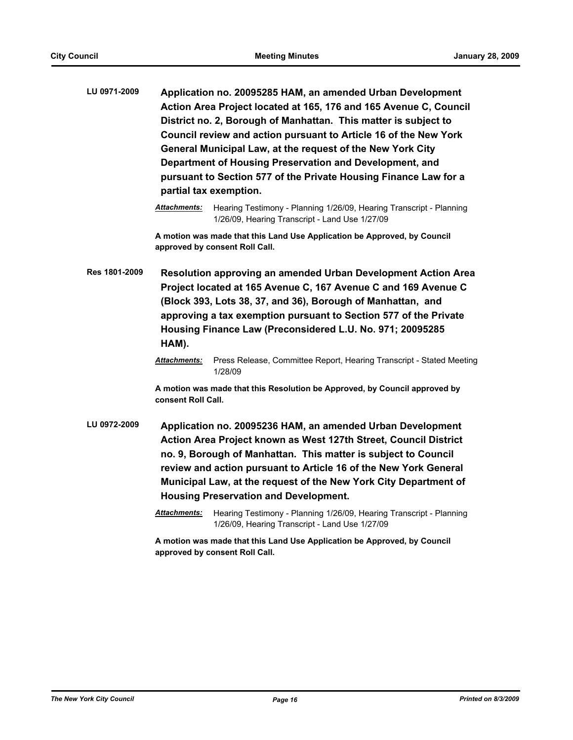| LU 0971-2009 | Application no. 20095285 HAM, an amended Urban Development        |
|--------------|-------------------------------------------------------------------|
|              | Action Area Project located at 165, 176 and 165 Avenue C, Council |
|              | District no. 2, Borough of Manhattan. This matter is subject to   |
|              | Council review and action pursuant to Article 16 of the New York  |
|              | General Municipal Law, at the request of the New York City        |
|              | Department of Housing Preservation and Development, and           |
|              | pursuant to Section 577 of the Private Housing Finance Law for a  |
|              | partial tax exemption.                                            |
|              |                                                                   |

**A motion was made that this Land Use Application be Approved, by Council approved by consent Roll Call.**

**Res 1801-2009 Resolution approving an amended Urban Development Action Area Project located at 165 Avenue C, 167 Avenue C and 169 Avenue C (Block 393, Lots 38, 37, and 36), Borough of Manhattan, and approving a tax exemption pursuant to Section 577 of the Private Housing Finance Law (Preconsidered L.U. No. 971; 20095285 HAM).**

> *Attachments:* Press Release, Committee Report, Hearing Transcript - Stated Meeting 1/28/09

**A motion was made that this Resolution be Approved, by Council approved by consent Roll Call.**

- **LU 0972-2009 Application no. 20095236 HAM, an amended Urban Development Action Area Project known as West 127th Street, Council District no. 9, Borough of Manhattan. This matter is subject to Council review and action pursuant to Article 16 of the New York General Municipal Law, at the request of the New York City Department of Housing Preservation and Development.**
	- *Attachments:* Hearing Testimony Planning 1/26/09, Hearing Transcript Planning 1/26/09, Hearing Transcript - Land Use 1/27/09

**A motion was made that this Land Use Application be Approved, by Council approved by consent Roll Call.**

*Attachments:* Hearing Testimony - Planning 1/26/09, Hearing Transcript - Planning 1/26/09, Hearing Transcript - Land Use 1/27/09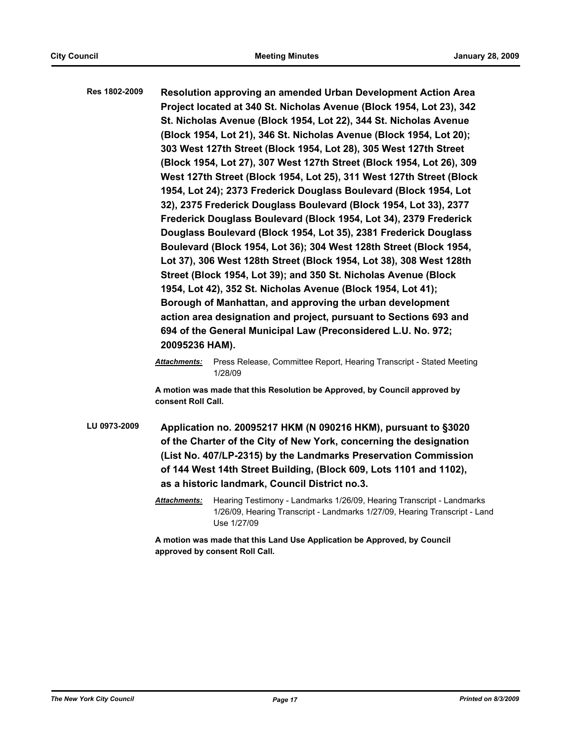**Res 1802-2009 Resolution approving an amended Urban Development Action Area Project located at 340 St. Nicholas Avenue (Block 1954, Lot 23), 342 St. Nicholas Avenue (Block 1954, Lot 22), 344 St. Nicholas Avenue (Block 1954, Lot 21), 346 St. Nicholas Avenue (Block 1954, Lot 20); 303 West 127th Street (Block 1954, Lot 28), 305 West 127th Street (Block 1954, Lot 27), 307 West 127th Street (Block 1954, Lot 26), 309 West 127th Street (Block 1954, Lot 25), 311 West 127th Street (Block 1954, Lot 24); 2373 Frederick Douglass Boulevard (Block 1954, Lot 32), 2375 Frederick Douglass Boulevard (Block 1954, Lot 33), 2377 Frederick Douglass Boulevard (Block 1954, Lot 34), 2379 Frederick Douglass Boulevard (Block 1954, Lot 35), 2381 Frederick Douglass Boulevard (Block 1954, Lot 36); 304 West 128th Street (Block 1954, Lot 37), 306 West 128th Street (Block 1954, Lot 38), 308 West 128th Street (Block 1954, Lot 39); and 350 St. Nicholas Avenue (Block 1954, Lot 42), 352 St. Nicholas Avenue (Block 1954, Lot 41); Borough of Manhattan, and approving the urban development action area designation and project, pursuant to Sections 693 and 694 of the General Municipal Law (Preconsidered L.U. No. 972; 20095236 HAM).**

> *Attachments:* Press Release, Committee Report, Hearing Transcript - Stated Meeting 1/28/09

**A motion was made that this Resolution be Approved, by Council approved by consent Roll Call.**

- **LU 0973-2009 Application no. 20095217 HKM (N 090216 HKM), pursuant to §3020 of the Charter of the City of New York, concerning the designation (List No. 407/LP-2315) by the Landmarks Preservation Commission of 144 West 14th Street Building, (Block 609, Lots 1101 and 1102), as a historic landmark, Council District no.3.**
	- *Attachments:* Hearing Testimony Landmarks 1/26/09, Hearing Transcript Landmarks 1/26/09, Hearing Transcript - Landmarks 1/27/09, Hearing Transcript - Land Use 1/27/09

**A motion was made that this Land Use Application be Approved, by Council approved by consent Roll Call.**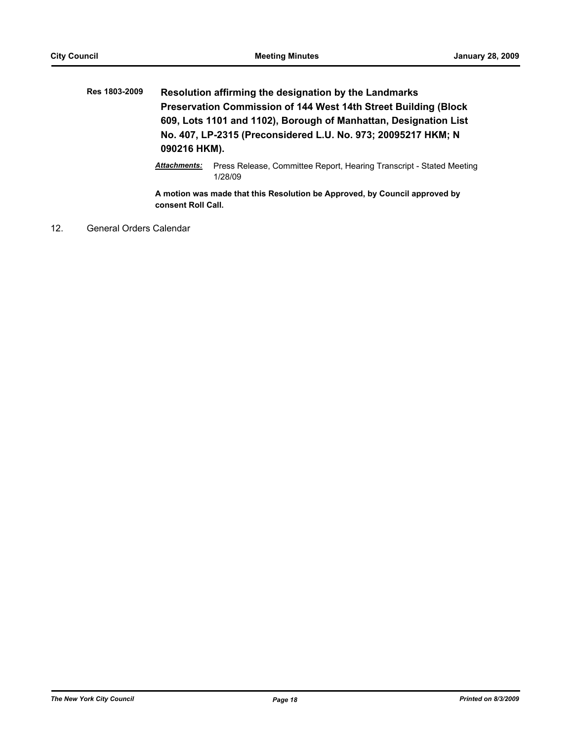| Res 1803-2009 | Resolution affirming the designation by the Landmarks                                                                                             |  |  |                     |                                                                      |
|---------------|---------------------------------------------------------------------------------------------------------------------------------------------------|--|--|---------------------|----------------------------------------------------------------------|
|               | Preservation Commission of 144 West 14th Street Building (Block)                                                                                  |  |  |                     |                                                                      |
|               | 609, Lots 1101 and 1102), Borough of Manhattan, Designation List<br>No. 407, LP-2315 (Preconsidered L.U. No. 973; 20095217 HKM; N<br>090216 HKM). |  |  |                     |                                                                      |
|               |                                                                                                                                                   |  |  | <b>Attachments:</b> | Press Release, Committee Report, Hearing Transcript - Stated Meeting |

1/28/09

**A motion was made that this Resolution be Approved, by Council approved by consent Roll Call.**

12. General Orders Calendar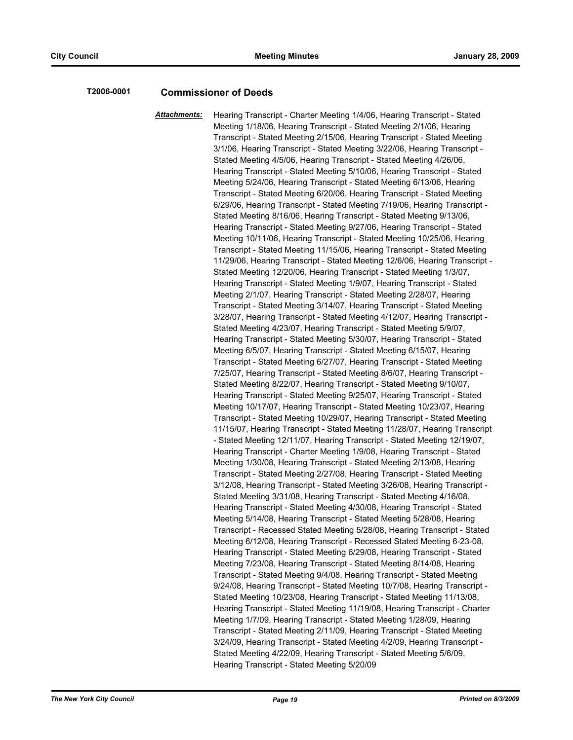#### **T2006-0001 Commissioner of Deeds**

*Attachments:* Hearing Transcript - Charter Meeting 1/4/06, Hearing Transcript - Stated Meeting 1/18/06, Hearing Transcript - Stated Meeting 2/1/06, Hearing Transcript - Stated Meeting 2/15/06, Hearing Transcript - Stated Meeting 3/1/06, Hearing Transcript - Stated Meeting 3/22/06, Hearing Transcript - Stated Meeting 4/5/06, Hearing Transcript - Stated Meeting 4/26/06, Hearing Transcript - Stated Meeting 5/10/06, Hearing Transcript - Stated Meeting 5/24/06, Hearing Transcript - Stated Meeting 6/13/06, Hearing Transcript - Stated Meeting 6/20/06, Hearing Transcript - Stated Meeting 6/29/06, Hearing Transcript - Stated Meeting 7/19/06, Hearing Transcript - Stated Meeting 8/16/06, Hearing Transcript - Stated Meeting 9/13/06, Hearing Transcript - Stated Meeting 9/27/06, Hearing Transcript - Stated Meeting 10/11/06, Hearing Transcript - Stated Meeting 10/25/06, Hearing Transcript - Stated Meeting 11/15/06, Hearing Transcript - Stated Meeting 11/29/06, Hearing Transcript - Stated Meeting 12/6/06, Hearing Transcript - Stated Meeting 12/20/06, Hearing Transcript - Stated Meeting 1/3/07, Hearing Transcript - Stated Meeting 1/9/07, Hearing Transcript - Stated Meeting 2/1/07, Hearing Transcript - Stated Meeting 2/28/07, Hearing Transcript - Stated Meeting 3/14/07, Hearing Transcript - Stated Meeting 3/28/07, Hearing Transcript - Stated Meeting 4/12/07, Hearing Transcript - Stated Meeting 4/23/07, Hearing Transcript - Stated Meeting 5/9/07, Hearing Transcript - Stated Meeting 5/30/07, Hearing Transcript - Stated Meeting 6/5/07, Hearing Transcript - Stated Meeting 6/15/07, Hearing Transcript - Stated Meeting 6/27/07, Hearing Transcript - Stated Meeting 7/25/07, Hearing Transcript - Stated Meeting 8/6/07, Hearing Transcript - Stated Meeting 8/22/07, Hearing Transcript - Stated Meeting 9/10/07, Hearing Transcript - Stated Meeting 9/25/07, Hearing Transcript - Stated Meeting 10/17/07, Hearing Transcript - Stated Meeting 10/23/07, Hearing Transcript - Stated Meeting 10/29/07, Hearing Transcript - Stated Meeting 11/15/07, Hearing Transcript - Stated Meeting 11/28/07, Hearing Transcript - Stated Meeting 12/11/07, Hearing Transcript - Stated Meeting 12/19/07, Hearing Transcript - Charter Meeting 1/9/08, Hearing Transcript - Stated Meeting 1/30/08, Hearing Transcript - Stated Meeting 2/13/08, Hearing Transcript - Stated Meeting 2/27/08, Hearing Transcript - Stated Meeting 3/12/08, Hearing Transcript - Stated Meeting 3/26/08, Hearing Transcript - Stated Meeting 3/31/08, Hearing Transcript - Stated Meeting 4/16/08, Hearing Transcript - Stated Meeting 4/30/08, Hearing Transcript - Stated Meeting 5/14/08, Hearing Transcript - Stated Meeting 5/28/08, Hearing Transcript - Recessed Stated Meeting 5/28/08, Hearing Transcript - Stated Meeting 6/12/08, Hearing Transcript - Recessed Stated Meeting 6-23-08, Hearing Transcript - Stated Meeting 6/29/08, Hearing Transcript - Stated Meeting 7/23/08, Hearing Transcript - Stated Meeting 8/14/08, Hearing Transcript - Stated Meeting 9/4/08, Hearing Transcript - Stated Meeting 9/24/08, Hearing Transcript - Stated Meeting 10/7/08, Hearing Transcript - Stated Meeting 10/23/08, Hearing Transcript - Stated Meeting 11/13/08, Hearing Transcript - Stated Meeting 11/19/08, Hearing Transcript - Charter Meeting 1/7/09, Hearing Transcript - Stated Meeting 1/28/09, Hearing Transcript - Stated Meeting 2/11/09, Hearing Transcript - Stated Meeting 3/24/09, Hearing Transcript - Stated Meeting 4/2/09, Hearing Transcript - Stated Meeting 4/22/09, Hearing Transcript - Stated Meeting 5/6/09, Hearing Transcript - Stated Meeting 5/20/09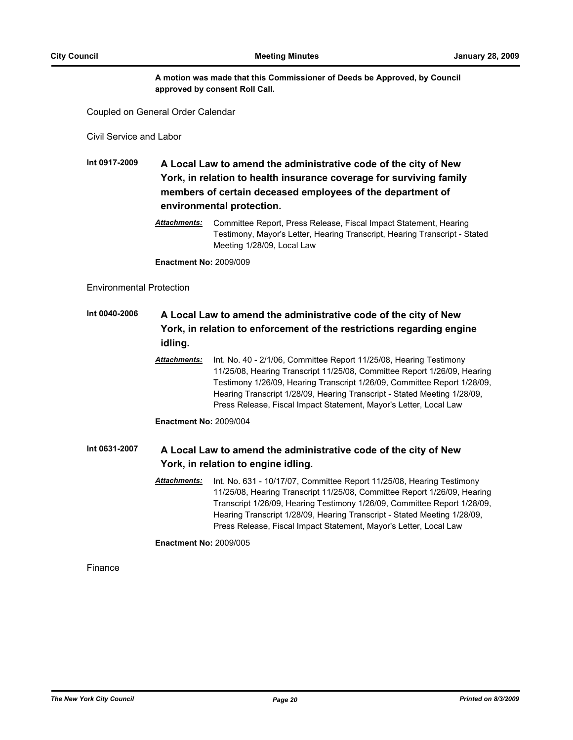#### **A motion was made that this Commissioner of Deeds be Approved, by Council approved by consent Roll Call.**

Coupled on General Order Calendar

Civil Service and Labor

**Int 0917-2009 A Local Law to amend the administrative code of the city of New York, in relation to health insurance coverage for surviving family members of certain deceased employees of the department of environmental protection.**

> *Attachments:* Committee Report, Press Release, Fiscal Impact Statement, Hearing Testimony, Mayor's Letter, Hearing Transcript, Hearing Transcript - Stated Meeting 1/28/09, Local Law

**Enactment No:** 2009/009

#### Environmental Protection

### **Int 0040-2006 A Local Law to amend the administrative code of the city of New York, in relation to enforcement of the restrictions regarding engine idling.**

*Attachments:* Int. No. 40 - 2/1/06, Committee Report 11/25/08, Hearing Testimony 11/25/08, Hearing Transcript 11/25/08, Committee Report 1/26/09, Hearing Testimony 1/26/09, Hearing Transcript 1/26/09, Committee Report 1/28/09, Hearing Transcript 1/28/09, Hearing Transcript - Stated Meeting 1/28/09, Press Release, Fiscal Impact Statement, Mayor's Letter, Local Law

**Enactment No:** 2009/004

### **Int 0631-2007 A Local Law to amend the administrative code of the city of New York, in relation to engine idling.**

*Attachments:* Int. No. 631 - 10/17/07, Committee Report 11/25/08, Hearing Testimony 11/25/08, Hearing Transcript 11/25/08, Committee Report 1/26/09, Hearing Transcript 1/26/09, Hearing Testimony 1/26/09, Committee Report 1/28/09, Hearing Transcript 1/28/09, Hearing Transcript - Stated Meeting 1/28/09, Press Release, Fiscal Impact Statement, Mayor's Letter, Local Law

**Enactment No:** 2009/005

Finance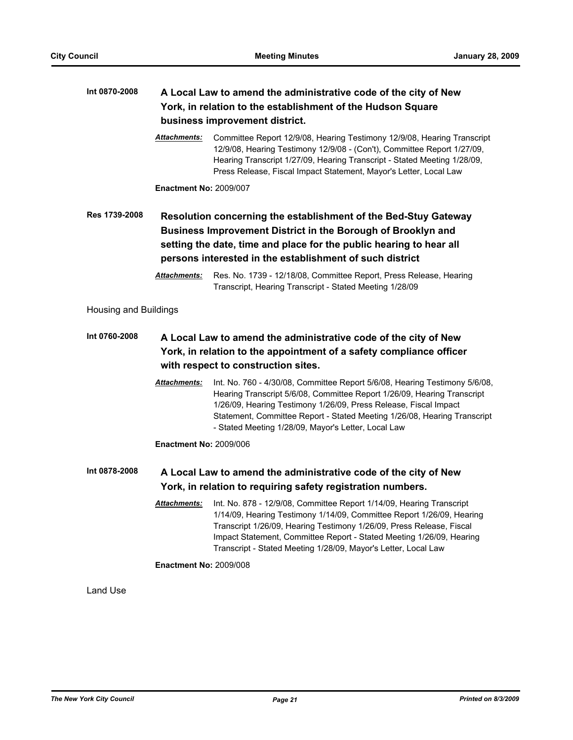| Int 0870-2008         | A Local Law to amend the administrative code of the city of New<br>York, in relation to the establishment of the Hudson Square<br>business improvement district.              |                                                                                                                                                                                                                                                                                                                                                                              |
|-----------------------|-------------------------------------------------------------------------------------------------------------------------------------------------------------------------------|------------------------------------------------------------------------------------------------------------------------------------------------------------------------------------------------------------------------------------------------------------------------------------------------------------------------------------------------------------------------------|
|                       | Attachments:                                                                                                                                                                  | Committee Report 12/9/08, Hearing Testimony 12/9/08, Hearing Transcript<br>12/9/08, Hearing Testimony 12/9/08 - (Con't), Committee Report 1/27/09,<br>Hearing Transcript 1/27/09, Hearing Transcript - Stated Meeting 1/28/09,<br>Press Release, Fiscal Impact Statement, Mayor's Letter, Local Law                                                                          |
|                       | <b>Enactment No: 2009/007</b>                                                                                                                                                 |                                                                                                                                                                                                                                                                                                                                                                              |
| Res 1739-2008         |                                                                                                                                                                               | Resolution concerning the establishment of the Bed-Stuy Gateway<br>Business Improvement District in the Borough of Brooklyn and<br>setting the date, time and place for the public hearing to hear all<br>persons interested in the establishment of such district                                                                                                           |
|                       | <b>Attachments:</b>                                                                                                                                                           | Res. No. 1739 - 12/18/08, Committee Report, Press Release, Hearing<br>Transcript, Hearing Transcript - Stated Meeting 1/28/09                                                                                                                                                                                                                                                |
| Housing and Buildings |                                                                                                                                                                               |                                                                                                                                                                                                                                                                                                                                                                              |
| Int 0760-2008         | A Local Law to amend the administrative code of the city of New<br>York, in relation to the appointment of a safety compliance officer<br>with respect to construction sites. |                                                                                                                                                                                                                                                                                                                                                                              |
|                       | <b>Attachments:</b>                                                                                                                                                           | Int. No. 760 - 4/30/08, Committee Report 5/6/08, Hearing Testimony 5/6/08,<br>Hearing Transcript 5/6/08, Committee Report 1/26/09, Hearing Transcript<br>1/26/09, Hearing Testimony 1/26/09, Press Release, Fiscal Impact<br>Statement, Committee Report - Stated Meeting 1/26/08, Hearing Transcript<br>- Stated Meeting 1/28/09, Mayor's Letter, Local Law                 |
|                       | <b>Enactment No: 2009/006</b>                                                                                                                                                 |                                                                                                                                                                                                                                                                                                                                                                              |
| Int 0878-2008         |                                                                                                                                                                               | A Local Law to amend the administrative code of the city of New<br>York, in relation to requiring safety registration numbers.                                                                                                                                                                                                                                               |
|                       |                                                                                                                                                                               | Attachments: Int. No. 878 - 12/9/08, Committee Report 1/14/09, Hearing Transcript<br>1/14/09, Hearing Testimony 1/14/09, Committee Report 1/26/09, Hearing<br>Transcript 1/26/09, Hearing Testimony 1/26/09, Press Release, Fiscal<br>Impact Statement, Committee Report - Stated Meeting 1/26/09, Hearing<br>Transcript - Stated Meeting 1/28/09, Mayor's Letter, Local Law |
|                       | <b>Enactment No: 2009/008</b>                                                                                                                                                 |                                                                                                                                                                                                                                                                                                                                                                              |
| Land Use              |                                                                                                                                                                               |                                                                                                                                                                                                                                                                                                                                                                              |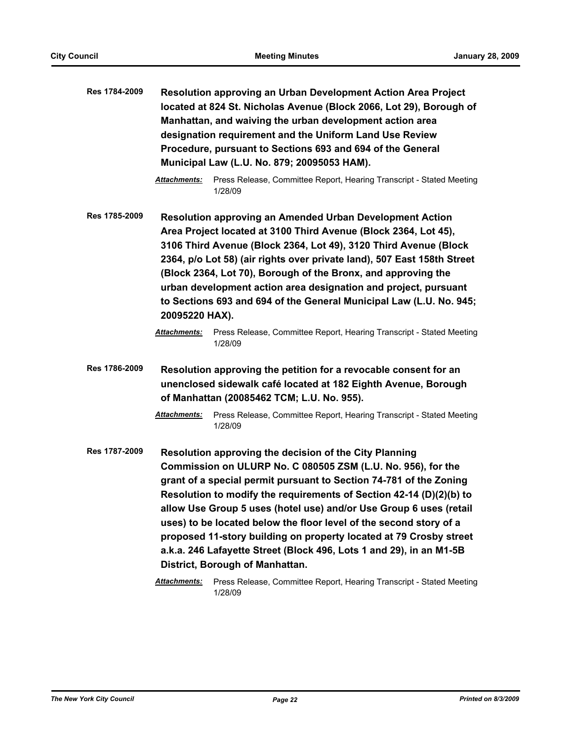| Res 1784-2009 | Resolution approving an Urban Development Action Area Project       |
|---------------|---------------------------------------------------------------------|
|               | located at 824 St. Nicholas Avenue (Block 2066, Lot 29), Borough of |
|               | Manhattan, and waiving the urban development action area            |
|               | designation requirement and the Uniform Land Use Review             |
|               | Procedure, pursuant to Sections 693 and 694 of the General          |
|               | Municipal Law (L.U. No. 879; 20095053 HAM).                         |

- *Attachments:* Press Release, Committee Report, Hearing Transcript Stated Meeting 1/28/09
- **Res 1785-2009 Resolution approving an Amended Urban Development Action Area Project located at 3100 Third Avenue (Block 2364, Lot 45), 3106 Third Avenue (Block 2364, Lot 49), 3120 Third Avenue (Block 2364, p/o Lot 58) (air rights over private land), 507 East 158th Street (Block 2364, Lot 70), Borough of the Bronx, and approving the urban development action area designation and project, pursuant to Sections 693 and 694 of the General Municipal Law (L.U. No. 945; 20095220 HAX).**
	- *Attachments:* Press Release, Committee Report, Hearing Transcript Stated Meeting 1/28/09
- **Res 1786-2009 Resolution approving the petition for a revocable consent for an unenclosed sidewalk café located at 182 Eighth Avenue, Borough of Manhattan (20085462 TCM; L.U. No. 955).**
	- *Attachments:* Press Release, Committee Report, Hearing Transcript Stated Meeting 1/28/09
- **Res 1787-2009 Resolution approving the decision of the City Planning Commission on ULURP No. C 080505 ZSM (L.U. No. 956), for the grant of a special permit pursuant to Section 74-781 of the Zoning Resolution to modify the requirements of Section 42-14 (D)(2)(b) to allow Use Group 5 uses (hotel use) and/or Use Group 6 uses (retail uses) to be located below the floor level of the second story of a proposed 11-story building on property located at 79 Crosby street a.k.a. 246 Lafayette Street (Block 496, Lots 1 and 29), in an M1-5B District, Borough of Manhattan.**
	- *Attachments:* Press Release, Committee Report, Hearing Transcript Stated Meeting 1/28/09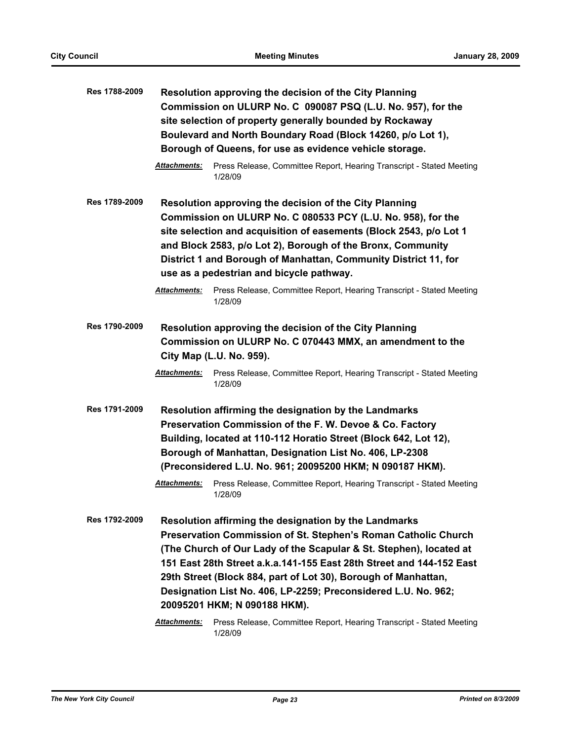| Res 1788-2009        |                     | Resolution approving the decision of the City Planning<br>Commission on ULURP No. C 090087 PSQ (L.U. No. 957), for the<br>site selection of property generally bounded by Rockaway<br>Boulevard and North Boundary Road (Block 14260, p/o Lot 1),<br>Borough of Queens, for use as evidence vehicle storage.                                                                                                                                                                                                      |
|----------------------|---------------------|-------------------------------------------------------------------------------------------------------------------------------------------------------------------------------------------------------------------------------------------------------------------------------------------------------------------------------------------------------------------------------------------------------------------------------------------------------------------------------------------------------------------|
|                      | Attachments:        | Press Release, Committee Report, Hearing Transcript - Stated Meeting<br>1/28/09                                                                                                                                                                                                                                                                                                                                                                                                                                   |
| Res 1789-2009        |                     | Resolution approving the decision of the City Planning<br>Commission on ULURP No. C 080533 PCY (L.U. No. 958), for the<br>site selection and acquisition of easements (Block 2543, p/o Lot 1<br>and Block 2583, p/o Lot 2), Borough of the Bronx, Community<br>District 1 and Borough of Manhattan, Community District 11, for<br>use as a pedestrian and bicycle pathway.                                                                                                                                        |
|                      | <b>Attachments:</b> | Press Release, Committee Report, Hearing Transcript - Stated Meeting<br>1/28/09                                                                                                                                                                                                                                                                                                                                                                                                                                   |
| <b>Res 1790-2009</b> | <b>Attachments:</b> | Resolution approving the decision of the City Planning<br>Commission on ULURP No. C 070443 MMX, an amendment to the<br>City Map (L.U. No. 959).<br>Press Release, Committee Report, Hearing Transcript - Stated Meeting<br>1/28/09                                                                                                                                                                                                                                                                                |
| Res 1791-2009        |                     | Resolution affirming the designation by the Landmarks<br>Preservation Commission of the F. W. Devoe & Co. Factory<br>Building, located at 110-112 Horatio Street (Block 642, Lot 12),<br>Borough of Manhattan, Designation List No. 406, LP-2308<br>(Preconsidered L.U. No. 961; 20095200 HKM; N 090187 HKM).                                                                                                                                                                                                     |
|                      | Attachments:        | Press Release, Committee Report, Hearing Transcript - Stated Meeting<br>1/28/09                                                                                                                                                                                                                                                                                                                                                                                                                                   |
| Res 1792-2009        | <b>Attachments:</b> | Resolution affirming the designation by the Landmarks<br>Preservation Commission of St. Stephen's Roman Catholic Church<br>(The Church of Our Lady of the Scapular & St. Stephen), located at<br>151 East 28th Street a.k.a.141-155 East 28th Street and 144-152 East<br>29th Street (Block 884, part of Lot 30), Borough of Manhattan,<br>Designation List No. 406, LP-2259; Preconsidered L.U. No. 962;<br>20095201 HKM; N 090188 HKM).<br>Press Release, Committee Report, Hearing Transcript - Stated Meeting |
|                      |                     | 1/28/09                                                                                                                                                                                                                                                                                                                                                                                                                                                                                                           |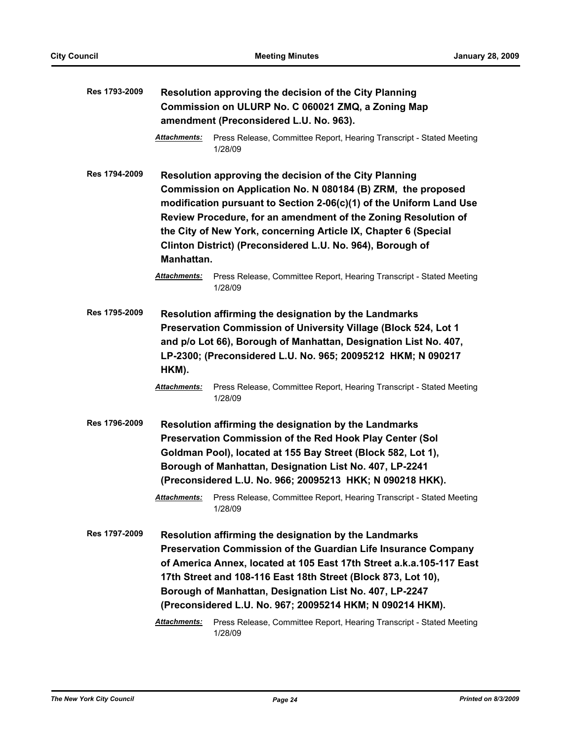| Res 1793-2009 |                            | Resolution approving the decision of the City Planning<br>Commission on ULURP No. C 060021 ZMQ, a Zoning Map<br>amendment (Preconsidered L.U. No. 963).                                                                                                                                                                                                                                                                                                                             |
|---------------|----------------------------|-------------------------------------------------------------------------------------------------------------------------------------------------------------------------------------------------------------------------------------------------------------------------------------------------------------------------------------------------------------------------------------------------------------------------------------------------------------------------------------|
|               | <b>Attachments:</b>        | Press Release, Committee Report, Hearing Transcript - Stated Meeting<br>1/28/09                                                                                                                                                                                                                                                                                                                                                                                                     |
| Res 1794-2009 | Manhattan.<br>Attachments: | Resolution approving the decision of the City Planning<br>Commission on Application No. N 080184 (B) ZRM, the proposed<br>modification pursuant to Section 2-06(c)(1) of the Uniform Land Use<br>Review Procedure, for an amendment of the Zoning Resolution of<br>the City of New York, concerning Article IX, Chapter 6 (Special<br>Clinton District) (Preconsidered L.U. No. 964), Borough of<br>Press Release, Committee Report, Hearing Transcript - Stated Meeting<br>1/28/09 |
| Res 1795-2009 | HKM).                      | Resolution affirming the designation by the Landmarks<br>Preservation Commission of University Village (Block 524, Lot 1<br>and p/o Lot 66), Borough of Manhattan, Designation List No. 407,<br>LP-2300; (Preconsidered L.U. No. 965; 20095212 HKM; N 090217                                                                                                                                                                                                                        |
|               | <b>Attachments:</b>        | Press Release, Committee Report, Hearing Transcript - Stated Meeting<br>1/28/09                                                                                                                                                                                                                                                                                                                                                                                                     |
| Res 1796-2009 |                            | Resolution affirming the designation by the Landmarks<br>Preservation Commission of the Red Hook Play Center (Sol<br>Goldman Pool), located at 155 Bay Street (Block 582, Lot 1),<br>Borough of Manhattan, Designation List No. 407, LP-2241<br>(Preconsidered L.U. No. 966; 20095213 HKK; N 090218 HKK).                                                                                                                                                                           |
|               | <u>Attachments:</u>        | Press Release, Committee Report, Hearing Transcript - Stated Meeting<br>1/28/09                                                                                                                                                                                                                                                                                                                                                                                                     |
| Res 1797-2009 | <b>Attachments:</b>        | Resolution affirming the designation by the Landmarks<br>Preservation Commission of the Guardian Life Insurance Company<br>of America Annex, located at 105 East 17th Street a.k.a.105-117 East<br>17th Street and 108-116 East 18th Street (Block 873, Lot 10),<br>Borough of Manhattan, Designation List No. 407, LP-2247<br>(Preconsidered L.U. No. 967; 20095214 HKM; N 090214 HKM).<br>Press Release, Committee Report, Hearing Transcript - Stated Meeting                    |
|               |                            | 1/28/09                                                                                                                                                                                                                                                                                                                                                                                                                                                                             |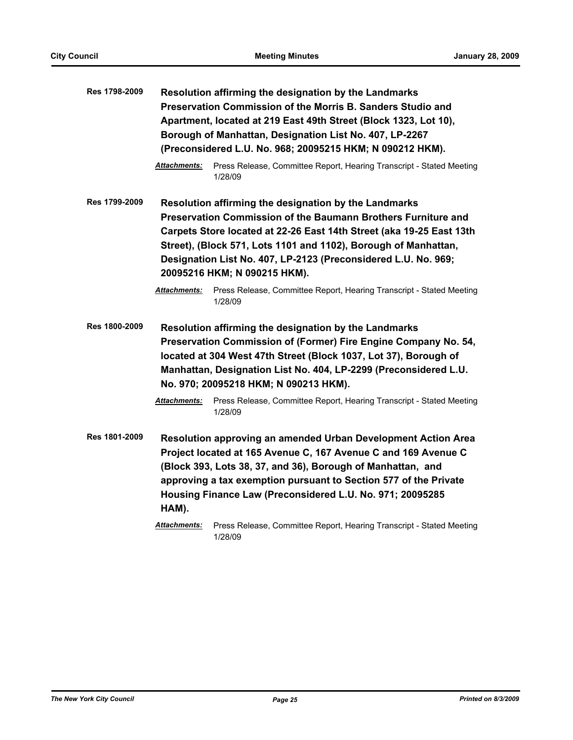| Res 1798-2009        |                     | Resolution affirming the designation by the Landmarks<br>Preservation Commission of the Morris B. Sanders Studio and<br>Apartment, located at 219 East 49th Street (Block 1323, Lot 10),<br>Borough of Manhattan, Designation List No. 407, LP-2267<br>(Preconsidered L.U. No. 968; 20095215 HKM; N 090212 HKM).                                                                                                                                       |
|----------------------|---------------------|--------------------------------------------------------------------------------------------------------------------------------------------------------------------------------------------------------------------------------------------------------------------------------------------------------------------------------------------------------------------------------------------------------------------------------------------------------|
|                      | <b>Attachments:</b> | Press Release, Committee Report, Hearing Transcript - Stated Meeting<br>1/28/09                                                                                                                                                                                                                                                                                                                                                                        |
| Res 1799-2009        | <b>Attachments:</b> | Resolution affirming the designation by the Landmarks<br>Preservation Commission of the Baumann Brothers Furniture and<br>Carpets Store located at 22-26 East 14th Street (aka 19-25 East 13th<br>Street), (Block 571, Lots 1101 and 1102), Borough of Manhattan,<br>Designation List No. 407, LP-2123 (Preconsidered L.U. No. 969;<br>20095216 HKM; N 090215 HKM).<br>Press Release, Committee Report, Hearing Transcript - Stated Meeting<br>1/28/09 |
| <b>Res 1800-2009</b> |                     | Resolution affirming the designation by the Landmarks<br>Preservation Commission of (Former) Fire Engine Company No. 54,<br>located at 304 West 47th Street (Block 1037, Lot 37), Borough of<br>Manhattan, Designation List No. 404, LP-2299 (Preconsidered L.U.<br>No. 970; 20095218 HKM; N 090213 HKM).                                                                                                                                              |
|                      | Attachments:        | Press Release, Committee Report, Hearing Transcript - Stated Meeting<br>1/28/09                                                                                                                                                                                                                                                                                                                                                                        |
| Res 1801-2009        | HAM).               | <b>Resolution approving an amended Urban Development Action Area</b><br>Project located at 165 Avenue C, 167 Avenue C and 169 Avenue C<br>(Block 393, Lots 38, 37, and 36), Borough of Manhattan, and<br>approving a tax exemption pursuant to Section 577 of the Private<br>Housing Finance Law (Preconsidered L.U. No. 971; 20095285                                                                                                                 |
|                      | <b>Attachments:</b> | Press Release, Committee Report, Hearing Transcript - Stated Meeting<br>1/28/09                                                                                                                                                                                                                                                                                                                                                                        |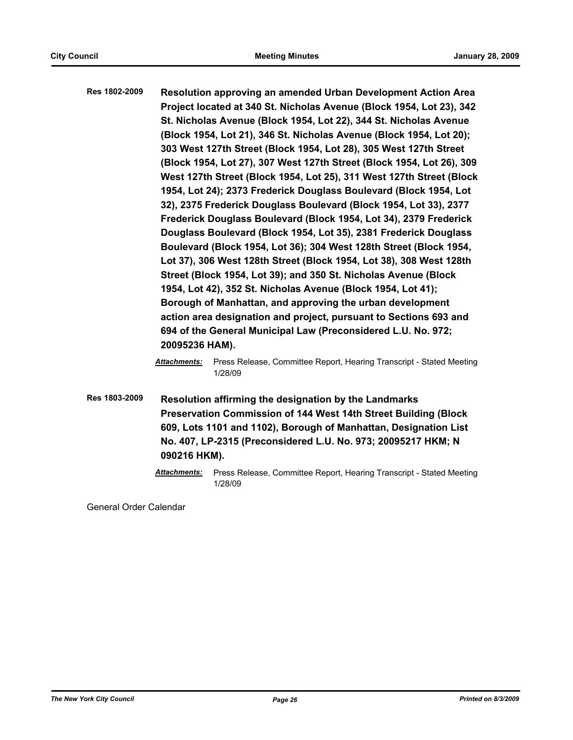- **Res 1802-2009 Resolution approving an amended Urban Development Action Area Project located at 340 St. Nicholas Avenue (Block 1954, Lot 23), 342 St. Nicholas Avenue (Block 1954, Lot 22), 344 St. Nicholas Avenue (Block 1954, Lot 21), 346 St. Nicholas Avenue (Block 1954, Lot 20); 303 West 127th Street (Block 1954, Lot 28), 305 West 127th Street (Block 1954, Lot 27), 307 West 127th Street (Block 1954, Lot 26), 309 West 127th Street (Block 1954, Lot 25), 311 West 127th Street (Block 1954, Lot 24); 2373 Frederick Douglass Boulevard (Block 1954, Lot 32), 2375 Frederick Douglass Boulevard (Block 1954, Lot 33), 2377 Frederick Douglass Boulevard (Block 1954, Lot 34), 2379 Frederick Douglass Boulevard (Block 1954, Lot 35), 2381 Frederick Douglass Boulevard (Block 1954, Lot 36); 304 West 128th Street (Block 1954, Lot 37), 306 West 128th Street (Block 1954, Lot 38), 308 West 128th Street (Block 1954, Lot 39); and 350 St. Nicholas Avenue (Block 1954, Lot 42), 352 St. Nicholas Avenue (Block 1954, Lot 41); Borough of Manhattan, and approving the urban development action area designation and project, pursuant to Sections 693 and 694 of the General Municipal Law (Preconsidered L.U. No. 972; 20095236 HAM).**
	- *Attachments:* Press Release, Committee Report, Hearing Transcript Stated Meeting 1/28/09
- **Res 1803-2009 Resolution affirming the designation by the Landmarks Preservation Commission of 144 West 14th Street Building (Block 609, Lots 1101 and 1102), Borough of Manhattan, Designation List No. 407, LP-2315 (Preconsidered L.U. No. 973; 20095217 HKM; N 090216 HKM).**
	- *Attachments:* Press Release, Committee Report, Hearing Transcript Stated Meeting 1/28/09

General Order Calendar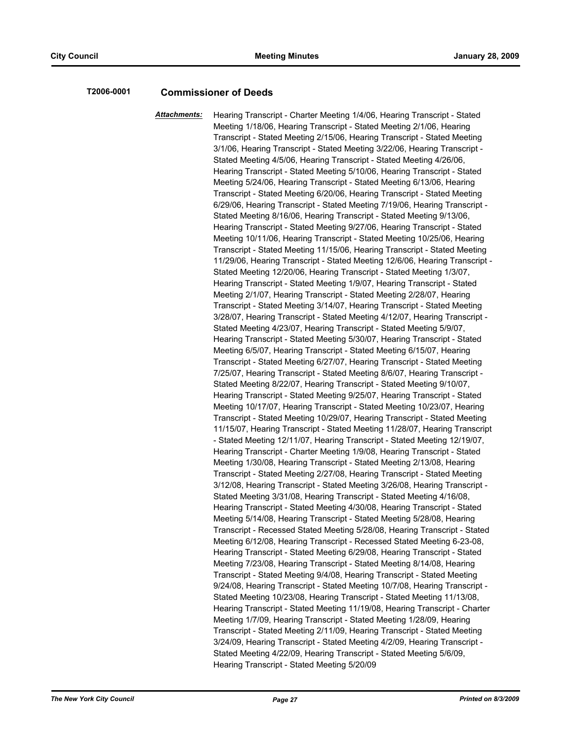#### **T2006-0001 Commissioner of Deeds**

*Attachments:* Hearing Transcript - Charter Meeting 1/4/06, Hearing Transcript - Stated Meeting 1/18/06, Hearing Transcript - Stated Meeting 2/1/06, Hearing Transcript - Stated Meeting 2/15/06, Hearing Transcript - Stated Meeting 3/1/06, Hearing Transcript - Stated Meeting 3/22/06, Hearing Transcript - Stated Meeting 4/5/06, Hearing Transcript - Stated Meeting 4/26/06, Hearing Transcript - Stated Meeting 5/10/06, Hearing Transcript - Stated Meeting 5/24/06, Hearing Transcript - Stated Meeting 6/13/06, Hearing Transcript - Stated Meeting 6/20/06, Hearing Transcript - Stated Meeting 6/29/06, Hearing Transcript - Stated Meeting 7/19/06, Hearing Transcript - Stated Meeting 8/16/06, Hearing Transcript - Stated Meeting 9/13/06, Hearing Transcript - Stated Meeting 9/27/06, Hearing Transcript - Stated Meeting 10/11/06, Hearing Transcript - Stated Meeting 10/25/06, Hearing Transcript - Stated Meeting 11/15/06, Hearing Transcript - Stated Meeting 11/29/06, Hearing Transcript - Stated Meeting 12/6/06, Hearing Transcript - Stated Meeting 12/20/06, Hearing Transcript - Stated Meeting 1/3/07, Hearing Transcript - Stated Meeting 1/9/07, Hearing Transcript - Stated Meeting 2/1/07, Hearing Transcript - Stated Meeting 2/28/07, Hearing Transcript - Stated Meeting 3/14/07, Hearing Transcript - Stated Meeting 3/28/07, Hearing Transcript - Stated Meeting 4/12/07, Hearing Transcript - Stated Meeting 4/23/07, Hearing Transcript - Stated Meeting 5/9/07, Hearing Transcript - Stated Meeting 5/30/07, Hearing Transcript - Stated Meeting 6/5/07, Hearing Transcript - Stated Meeting 6/15/07, Hearing Transcript - Stated Meeting 6/27/07, Hearing Transcript - Stated Meeting 7/25/07, Hearing Transcript - Stated Meeting 8/6/07, Hearing Transcript - Stated Meeting 8/22/07, Hearing Transcript - Stated Meeting 9/10/07, Hearing Transcript - Stated Meeting 9/25/07, Hearing Transcript - Stated Meeting 10/17/07, Hearing Transcript - Stated Meeting 10/23/07, Hearing Transcript - Stated Meeting 10/29/07, Hearing Transcript - Stated Meeting 11/15/07, Hearing Transcript - Stated Meeting 11/28/07, Hearing Transcript - Stated Meeting 12/11/07, Hearing Transcript - Stated Meeting 12/19/07, Hearing Transcript - Charter Meeting 1/9/08, Hearing Transcript - Stated Meeting 1/30/08, Hearing Transcript - Stated Meeting 2/13/08, Hearing Transcript - Stated Meeting 2/27/08, Hearing Transcript - Stated Meeting 3/12/08, Hearing Transcript - Stated Meeting 3/26/08, Hearing Transcript - Stated Meeting 3/31/08, Hearing Transcript - Stated Meeting 4/16/08, Hearing Transcript - Stated Meeting 4/30/08, Hearing Transcript - Stated Meeting 5/14/08, Hearing Transcript - Stated Meeting 5/28/08, Hearing Transcript - Recessed Stated Meeting 5/28/08, Hearing Transcript - Stated Meeting 6/12/08, Hearing Transcript - Recessed Stated Meeting 6-23-08, Hearing Transcript - Stated Meeting 6/29/08, Hearing Transcript - Stated Meeting 7/23/08, Hearing Transcript - Stated Meeting 8/14/08, Hearing Transcript - Stated Meeting 9/4/08, Hearing Transcript - Stated Meeting 9/24/08, Hearing Transcript - Stated Meeting 10/7/08, Hearing Transcript - Stated Meeting 10/23/08, Hearing Transcript - Stated Meeting 11/13/08, Hearing Transcript - Stated Meeting 11/19/08, Hearing Transcript - Charter Meeting 1/7/09, Hearing Transcript - Stated Meeting 1/28/09, Hearing Transcript - Stated Meeting 2/11/09, Hearing Transcript - Stated Meeting 3/24/09, Hearing Transcript - Stated Meeting 4/2/09, Hearing Transcript - Stated Meeting 4/22/09, Hearing Transcript - Stated Meeting 5/6/09, Hearing Transcript - Stated Meeting 5/20/09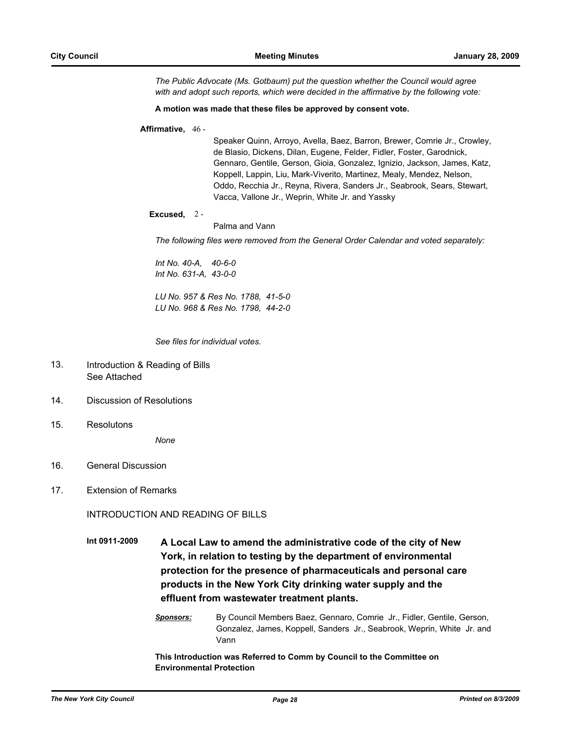*The Public Advocate (Ms. Gotbaum) put the question whether the Council would agree with and adopt such reports, which were decided in the affirmative by the following vote:*

#### **A motion was made that these files be approved by consent vote.**

#### **Affirmative,** 46 -

Speaker Quinn, Arroyo, Avella, Baez, Barron, Brewer, Comrie Jr., Crowley, de Blasio, Dickens, Dilan, Eugene, Felder, Fidler, Foster, Garodnick, Gennaro, Gentile, Gerson, Gioia, Gonzalez, Ignizio, Jackson, James, Katz, Koppell, Lappin, Liu, Mark-Viverito, Martinez, Mealy, Mendez, Nelson, Oddo, Recchia Jr., Reyna, Rivera, Sanders Jr., Seabrook, Sears, Stewart, Vacca, Vallone Jr., Weprin, White Jr. and Yassky

#### **Excused,** 2 -

Palma and Vann

*The following files were removed from the General Order Calendar and voted separately:*

*Int No. 40-A, 40-6-0 Int No. 631-A, 43-0-0*

*LU No. 957 & Res No. 1788, 41-5-0 LU No. 968 & Res No. 1798, 44-2-0*

*See files for individual votes.*

- Introduction & Reading of Bills See Attached 13.
- 14. Discussion of Resolutions
- 15. Resolutons

*None*

- 16. General Discussion
- 17. Extension of Remarks

INTRODUCTION AND READING OF BILLS

**Int 0911-2009 A Local Law to amend the administrative code of the city of New York, in relation to testing by the department of environmental protection for the presence of pharmaceuticals and personal care products in the New York City drinking water supply and the effluent from wastewater treatment plants.**

#### *Sponsors:* By Council Members Baez, Gennaro, Comrie Jr., Fidler, Gentile, Gerson, Gonzalez, James, Koppell, Sanders Jr., Seabrook, Weprin, White Jr. and Vann

**This Introduction was Referred to Comm by Council to the Committee on Environmental Protection**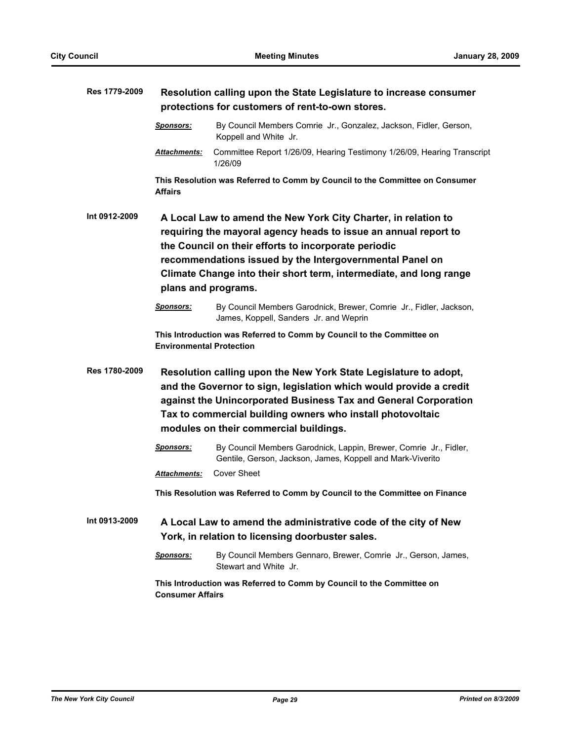| Res 1779-2009 |                                 | Resolution calling upon the State Legislature to increase consumer                                                                                                                                                                                                                                                                                 |
|---------------|---------------------------------|----------------------------------------------------------------------------------------------------------------------------------------------------------------------------------------------------------------------------------------------------------------------------------------------------------------------------------------------------|
|               |                                 | protections for customers of rent-to-own stores.                                                                                                                                                                                                                                                                                                   |
|               | <u>Sponsors:</u>                | By Council Members Comrie Jr., Gonzalez, Jackson, Fidler, Gerson,<br>Koppell and White Jr.                                                                                                                                                                                                                                                         |
|               | <b>Attachments:</b>             | Committee Report 1/26/09, Hearing Testimony 1/26/09, Hearing Transcript<br>1/26/09                                                                                                                                                                                                                                                                 |
|               | <b>Affairs</b>                  | This Resolution was Referred to Comm by Council to the Committee on Consumer                                                                                                                                                                                                                                                                       |
| Int 0912-2009 |                                 | A Local Law to amend the New York City Charter, in relation to<br>requiring the mayoral agency heads to issue an annual report to<br>the Council on their efforts to incorporate periodic<br>recommendations issued by the Intergovernmental Panel on<br>Climate Change into their short term, intermediate, and long range<br>plans and programs. |
|               | <b>Sponsors:</b>                | By Council Members Garodnick, Brewer, Comrie Jr., Fidler, Jackson,<br>James, Koppell, Sanders Jr. and Weprin                                                                                                                                                                                                                                       |
|               | <b>Environmental Protection</b> | This Introduction was Referred to Comm by Council to the Committee on                                                                                                                                                                                                                                                                              |
| Res 1780-2009 |                                 | Resolution calling upon the New York State Legislature to adopt,<br>and the Governor to sign, legislation which would provide a credit<br>against the Unincorporated Business Tax and General Corporation<br>Tax to commercial building owners who install photovoltaic<br>modules on their commercial buildings.                                  |
|               | <b>Sponsors:</b>                | By Council Members Garodnick, Lappin, Brewer, Comrie Jr., Fidler,<br>Gentile, Gerson, Jackson, James, Koppell and Mark-Viverito                                                                                                                                                                                                                    |
|               | Attachments:                    | <b>Cover Sheet</b>                                                                                                                                                                                                                                                                                                                                 |
|               |                                 | This Resolution was Referred to Comm by Council to the Committee on Finance                                                                                                                                                                                                                                                                        |
| Int 0913-2009 |                                 | A Local Law to amend the administrative code of the city of New<br>York, in relation to licensing doorbuster sales.                                                                                                                                                                                                                                |
|               | <u>Sponsors:</u>                | By Council Members Gennaro, Brewer, Comrie Jr., Gerson, James,<br>Stewart and White Jr.                                                                                                                                                                                                                                                            |
|               | <b>Consumer Affairs</b>         | This Introduction was Referred to Comm by Council to the Committee on                                                                                                                                                                                                                                                                              |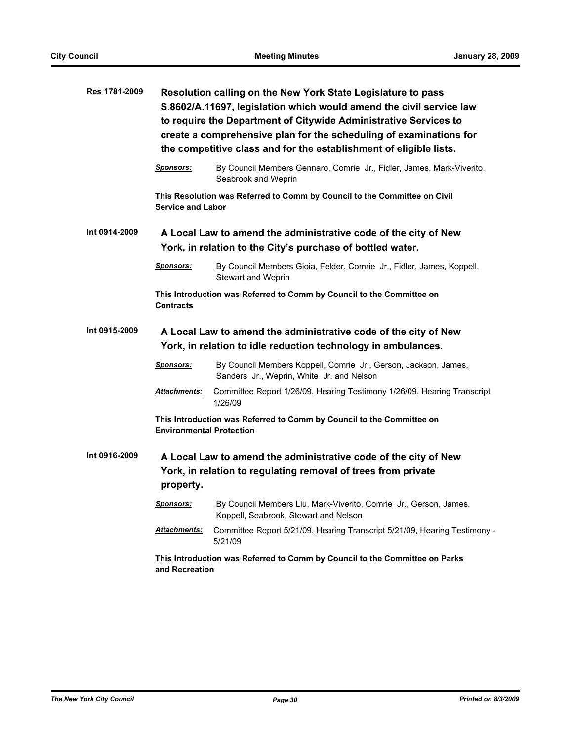| Res 1781-2009 |                                 | Resolution calling on the New York State Legislature to pass<br>S.8602/A.11697, legislation which would amend the civil service law<br>to require the Department of Citywide Administrative Services to<br>create a comprehensive plan for the scheduling of examinations for<br>the competitive class and for the establishment of eligible lists. |
|---------------|---------------------------------|-----------------------------------------------------------------------------------------------------------------------------------------------------------------------------------------------------------------------------------------------------------------------------------------------------------------------------------------------------|
|               | <b>Sponsors:</b>                | By Council Members Gennaro, Comrie Jr., Fidler, James, Mark-Viverito,<br>Seabrook and Weprin                                                                                                                                                                                                                                                        |
|               | <b>Service and Labor</b>        | This Resolution was Referred to Comm by Council to the Committee on Civil                                                                                                                                                                                                                                                                           |
| Int 0914-2009 |                                 | A Local Law to amend the administrative code of the city of New<br>York, in relation to the City's purchase of bottled water.                                                                                                                                                                                                                       |
|               | <b>Sponsors:</b>                | By Council Members Gioia, Felder, Comrie Jr., Fidler, James, Koppell,<br><b>Stewart and Weprin</b>                                                                                                                                                                                                                                                  |
|               | <b>Contracts</b>                | This Introduction was Referred to Comm by Council to the Committee on                                                                                                                                                                                                                                                                               |
| Int 0915-2009 |                                 | A Local Law to amend the administrative code of the city of New<br>York, in relation to idle reduction technology in ambulances.                                                                                                                                                                                                                    |
|               | <b>Sponsors:</b>                | By Council Members Koppell, Comrie Jr., Gerson, Jackson, James,<br>Sanders Jr., Weprin, White Jr. and Nelson                                                                                                                                                                                                                                        |
|               | Attachments:                    | Committee Report 1/26/09, Hearing Testimony 1/26/09, Hearing Transcript<br>1/26/09                                                                                                                                                                                                                                                                  |
|               | <b>Environmental Protection</b> | This Introduction was Referred to Comm by Council to the Committee on                                                                                                                                                                                                                                                                               |
| Int 0916-2009 | property.                       | A Local Law to amend the administrative code of the city of New<br>York, in relation to regulating removal of trees from private                                                                                                                                                                                                                    |
|               |                                 | Sponsors: By Council Members Liu, Mark-Viverito, Comrie Jr., Gerson, James,<br>Koppell, Seabrook, Stewart and Nelson                                                                                                                                                                                                                                |
|               | <b>Attachments:</b>             | Committee Report 5/21/09, Hearing Transcript 5/21/09, Hearing Testimony -<br>5/21/09                                                                                                                                                                                                                                                                |
|               | and Recreation                  | This Introduction was Referred to Comm by Council to the Committee on Parks                                                                                                                                                                                                                                                                         |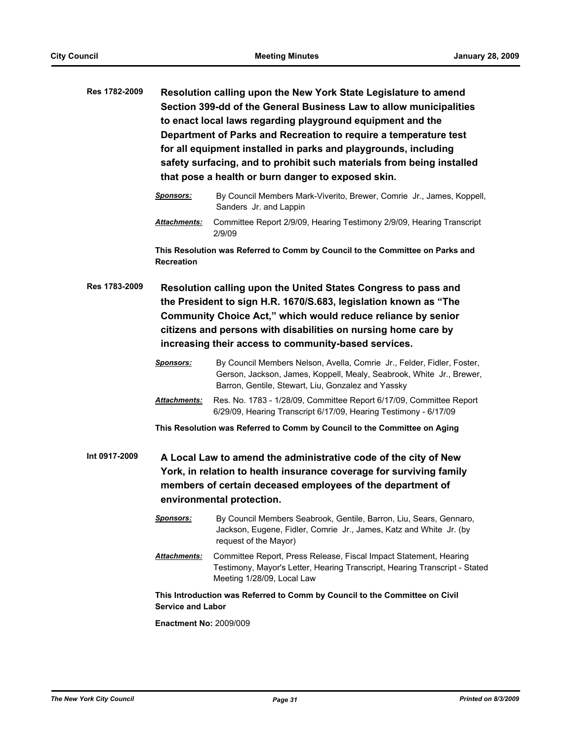| Res 1782-2009 | Resolution calling upon the New York State Legislature to amend       |
|---------------|-----------------------------------------------------------------------|
|               | Section 399-dd of the General Business Law to allow municipalities    |
|               | to enact local laws regarding playground equipment and the            |
|               | Department of Parks and Recreation to require a temperature test      |
|               | for all equipment installed in parks and playgrounds, including       |
|               | safety surfacing, and to prohibit such materials from being installed |
|               | that pose a health or burn danger to exposed skin.                    |

- *Sponsors:* By Council Members Mark-Viverito, Brewer, Comrie Jr., James, Koppell, Sanders Jr. and Lappin
- *Attachments:* Committee Report 2/9/09, Hearing Testimony 2/9/09, Hearing Transcript 2/9/09

**This Resolution was Referred to Comm by Council to the Committee on Parks and Recreation**

**Res 1783-2009 Resolution calling upon the United States Congress to pass and the President to sign H.R. 1670/S.683, legislation known as "The Community Choice Act," which would reduce reliance by senior citizens and persons with disabilities on nursing home care by increasing their access to community-based services.**

- *Sponsors:* By Council Members Nelson, Avella, Comrie Jr., Felder, Fidler, Foster, Gerson, Jackson, James, Koppell, Mealy, Seabrook, White Jr., Brewer, Barron, Gentile, Stewart, Liu, Gonzalez and Yassky
- *Attachments:* Res. No. 1783 1/28/09, Committee Report 6/17/09, Committee Report 6/29/09, Hearing Transcript 6/17/09, Hearing Testimony - 6/17/09

**This Resolution was Referred to Comm by Council to the Committee on Aging**

**Int 0917-2009 A Local Law to amend the administrative code of the city of New York, in relation to health insurance coverage for surviving family members of certain deceased employees of the department of environmental protection.**

- *Sponsors:* By Council Members Seabrook, Gentile, Barron, Liu, Sears, Gennaro, Jackson, Eugene, Fidler, Comrie Jr., James, Katz and White Jr. (by request of the Mayor)
- *Attachments:* Committee Report, Press Release, Fiscal Impact Statement, Hearing Testimony, Mayor's Letter, Hearing Transcript, Hearing Transcript - Stated Meeting 1/28/09, Local Law

**This Introduction was Referred to Comm by Council to the Committee on Civil Service and Labor**

**Enactment No:** 2009/009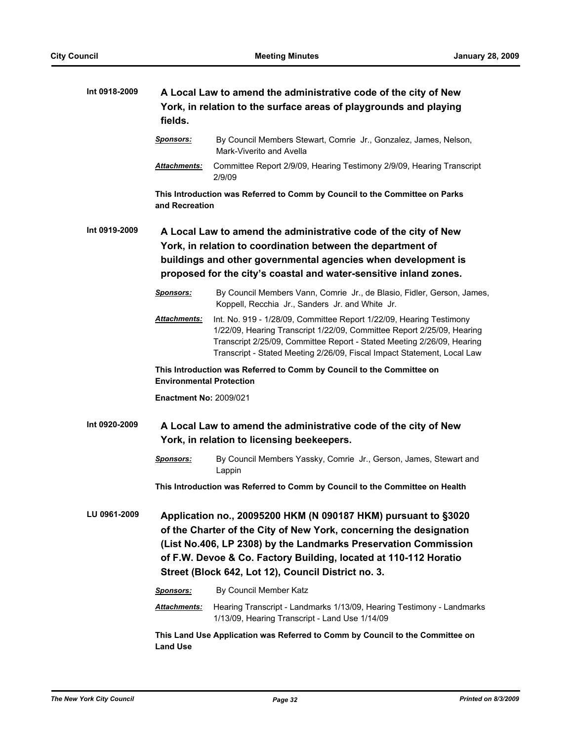| Int 0918-2009 | fields.                         | A Local Law to amend the administrative code of the city of New<br>York, in relation to the surface areas of playgrounds and playing                                                                                                                                                                                               |
|---------------|---------------------------------|------------------------------------------------------------------------------------------------------------------------------------------------------------------------------------------------------------------------------------------------------------------------------------------------------------------------------------|
|               | <b>Sponsors:</b>                | By Council Members Stewart, Comrie Jr., Gonzalez, James, Nelson,<br>Mark-Viverito and Avella                                                                                                                                                                                                                                       |
|               | Attachments:                    | Committee Report 2/9/09, Hearing Testimony 2/9/09, Hearing Transcript<br>2/9/09                                                                                                                                                                                                                                                    |
|               | and Recreation                  | This Introduction was Referred to Comm by Council to the Committee on Parks                                                                                                                                                                                                                                                        |
| Int 0919-2009 |                                 | A Local Law to amend the administrative code of the city of New<br>York, in relation to coordination between the department of<br>buildings and other governmental agencies when development is<br>proposed for the city's coastal and water-sensitive inland zones.                                                               |
|               | <b>Sponsors:</b>                | By Council Members Vann, Comrie Jr., de Blasio, Fidler, Gerson, James,<br>Koppell, Recchia Jr., Sanders Jr. and White Jr.                                                                                                                                                                                                          |
|               | Attachments:                    | Int. No. 919 - 1/28/09, Committee Report 1/22/09, Hearing Testimony<br>1/22/09, Hearing Transcript 1/22/09, Committee Report 2/25/09, Hearing<br>Transcript 2/25/09, Committee Report - Stated Meeting 2/26/09, Hearing<br>Transcript - Stated Meeting 2/26/09, Fiscal Impact Statement, Local Law                                 |
|               | <b>Environmental Protection</b> | This Introduction was Referred to Comm by Council to the Committee on                                                                                                                                                                                                                                                              |
|               | <b>Enactment No: 2009/021</b>   |                                                                                                                                                                                                                                                                                                                                    |
| Int 0920-2009 |                                 | A Local Law to amend the administrative code of the city of New<br>York, in relation to licensing beekeepers.                                                                                                                                                                                                                      |
|               | <b>Sponsors:</b>                | By Council Members Yassky, Comrie Jr., Gerson, James, Stewart and<br>Lappin                                                                                                                                                                                                                                                        |
|               |                                 | This Introduction was Referred to Comm by Council to the Committee on Health                                                                                                                                                                                                                                                       |
| LU 0961-2009  |                                 | Application no., 20095200 HKM (N 090187 HKM) pursuant to §3020<br>of the Charter of the City of New York, concerning the designation<br>(List No.406, LP 2308) by the Landmarks Preservation Commission<br>of F.W. Devoe & Co. Factory Building, located at 110-112 Horatio<br>Street (Block 642, Lot 12), Council District no. 3. |
|               | <b>Sponsors:</b>                | By Council Member Katz                                                                                                                                                                                                                                                                                                             |
|               | <u> Attachments:</u>            | Hearing Transcript - Landmarks 1/13/09, Hearing Testimony - Landmarks<br>1/13/09, Hearing Transcript - Land Use 1/14/09                                                                                                                                                                                                            |
|               | <b>Land Use</b>                 | This Land Use Application was Referred to Comm by Council to the Committee on                                                                                                                                                                                                                                                      |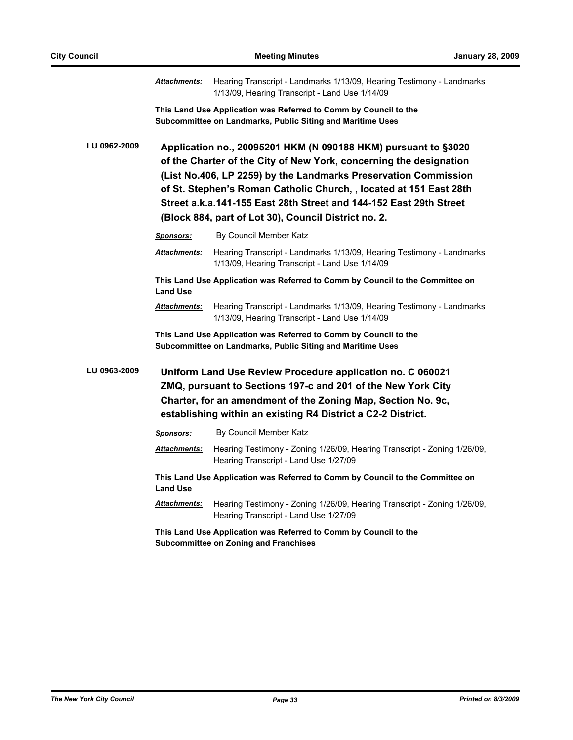|              | <u> Attachments:</u> | Hearing Transcript - Landmarks 1/13/09, Hearing Testimony - Landmarks<br>1/13/09, Hearing Transcript - Land Use 1/14/09                                                                                                                                                                                                                                                                                     |
|--------------|----------------------|-------------------------------------------------------------------------------------------------------------------------------------------------------------------------------------------------------------------------------------------------------------------------------------------------------------------------------------------------------------------------------------------------------------|
|              |                      | This Land Use Application was Referred to Comm by Council to the<br>Subcommittee on Landmarks, Public Siting and Maritime Uses                                                                                                                                                                                                                                                                              |
| LU 0962-2009 |                      | Application no., 20095201 HKM (N 090188 HKM) pursuant to §3020<br>of the Charter of the City of New York, concerning the designation<br>(List No.406, LP 2259) by the Landmarks Preservation Commission<br>of St. Stephen's Roman Catholic Church, , located at 151 East 28th<br>Street a.k.a.141-155 East 28th Street and 144-152 East 29th Street<br>(Block 884, part of Lot 30), Council District no. 2. |
|              | <u>Sponsors:</u>     | By Council Member Katz                                                                                                                                                                                                                                                                                                                                                                                      |
|              | <u>Attachments:</u>  | Hearing Transcript - Landmarks 1/13/09, Hearing Testimony - Landmarks<br>1/13/09, Hearing Transcript - Land Use 1/14/09                                                                                                                                                                                                                                                                                     |
|              | <b>Land Use</b>      | This Land Use Application was Referred to Comm by Council to the Committee on                                                                                                                                                                                                                                                                                                                               |
|              | <b>Attachments:</b>  | Hearing Transcript - Landmarks 1/13/09, Hearing Testimony - Landmarks<br>1/13/09, Hearing Transcript - Land Use 1/14/09                                                                                                                                                                                                                                                                                     |
|              |                      | This Land Use Application was Referred to Comm by Council to the<br>Subcommittee on Landmarks, Public Siting and Maritime Uses                                                                                                                                                                                                                                                                              |
| LU 0963-2009 |                      | Uniform Land Use Review Procedure application no. C 060021<br>ZMQ, pursuant to Sections 197-c and 201 of the New York City<br>Charter, for an amendment of the Zoning Map, Section No. 9c,<br>establishing within an existing R4 District a C2-2 District.                                                                                                                                                  |
|              | <u>Sponsors:</u>     | By Council Member Katz                                                                                                                                                                                                                                                                                                                                                                                      |
|              | <b>Attachments:</b>  | Hearing Testimony - Zoning 1/26/09, Hearing Transcript - Zoning 1/26/09,<br>Hearing Transcript - Land Use 1/27/09                                                                                                                                                                                                                                                                                           |
|              | <b>Land Use</b>      | This Land Use Application was Referred to Comm by Council to the Committee on                                                                                                                                                                                                                                                                                                                               |
|              | <u> Attachments:</u> | Hearing Testimony - Zoning 1/26/09, Hearing Transcript - Zoning 1/26/09,<br>Hearing Transcript - Land Use 1/27/09                                                                                                                                                                                                                                                                                           |
|              |                      | This Land Use Application was Referred to Comm by Council to the<br><b>Subcommittee on Zoning and Franchises</b>                                                                                                                                                                                                                                                                                            |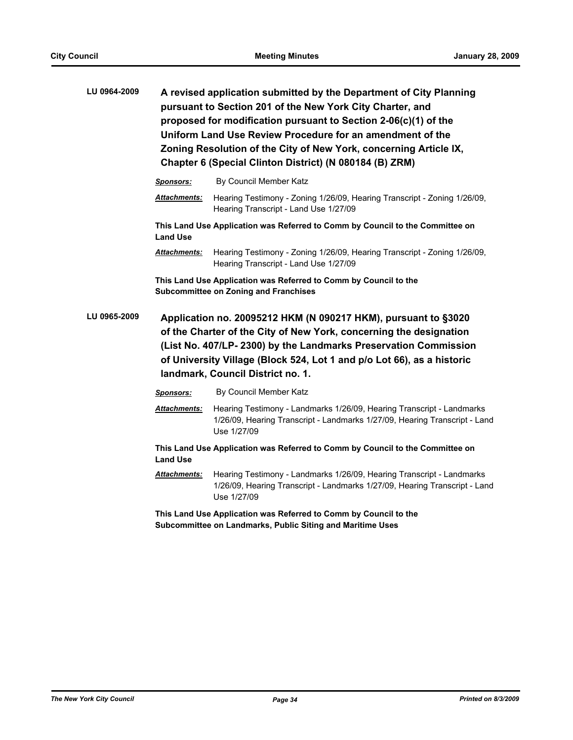| LU 0964-2009 |                     | A revised application submitted by the Department of City Planning<br>pursuant to Section 201 of the New York City Charter, and<br>proposed for modification pursuant to Section 2-06(c)(1) of the<br>Uniform Land Use Review Procedure for an amendment of the<br>Zoning Resolution of the City of New York, concerning Article IX,<br>Chapter 6 (Special Clinton District) (N 080184 (B) ZRM) |
|--------------|---------------------|-------------------------------------------------------------------------------------------------------------------------------------------------------------------------------------------------------------------------------------------------------------------------------------------------------------------------------------------------------------------------------------------------|
|              | Sponsors:           | By Council Member Katz                                                                                                                                                                                                                                                                                                                                                                          |
|              | <b>Attachments:</b> | Hearing Testimony - Zoning 1/26/09, Hearing Transcript - Zoning 1/26/09,<br>Hearing Transcript - Land Use 1/27/09                                                                                                                                                                                                                                                                               |
|              | <b>Land Use</b>     | This Land Use Application was Referred to Comm by Council to the Committee on                                                                                                                                                                                                                                                                                                                   |
|              | <b>Attachments:</b> | Hearing Testimony - Zoning 1/26/09, Hearing Transcript - Zoning 1/26/09,<br>Hearing Transcript - Land Use 1/27/09                                                                                                                                                                                                                                                                               |
|              |                     | This Land Use Application was Referred to Comm by Council to the<br><b>Subcommittee on Zoning and Franchises</b>                                                                                                                                                                                                                                                                                |
| LU 0965-2009 |                     | Application no. 20095212 HKM (N 090217 HKM), pursuant to §3020<br>of the Charter of the City of New York, concerning the designation<br>(List No. 407/LP-2300) by the Landmarks Preservation Commission<br>of University Village (Block 524, Lot 1 and p/o Lot 66), as a historic<br>landmark, Council District no. 1.                                                                          |
|              | <b>Sponsors:</b>    | By Council Member Katz                                                                                                                                                                                                                                                                                                                                                                          |
|              | <b>Attachments:</b> | Hearing Testimony - Landmarks 1/26/09, Hearing Transcript - Landmarks<br>1/26/09, Hearing Transcript - Landmarks 1/27/09, Hearing Transcript - Land<br>Use 1/27/09                                                                                                                                                                                                                              |
|              | <b>Land Use</b>     | This Land Use Application was Referred to Comm by Council to the Committee on                                                                                                                                                                                                                                                                                                                   |
|              | <b>Attachments:</b> | Hearing Testimony - Landmarks 1/26/09, Hearing Transcript - Landmarks<br>1/26/09, Hearing Transcript - Landmarks 1/27/09, Hearing Transcript - Land<br>Use 1/27/09                                                                                                                                                                                                                              |
|              |                     | This Land Use Application was Referred to Comm by Council to the<br>Subcommittee on Landmarks, Public Siting and Maritime Uses                                                                                                                                                                                                                                                                  |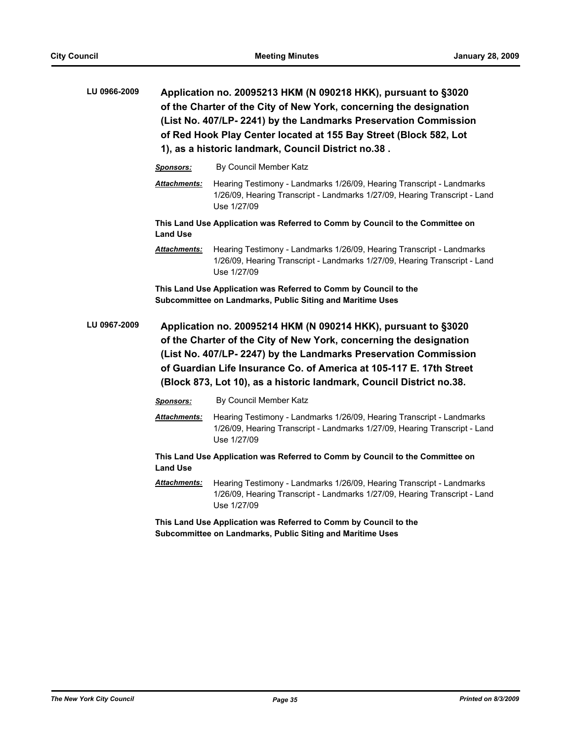| LU 0966-2009 |                      | Application no. 20095213 HKM (N 090218 HKK), pursuant to §3020<br>of the Charter of the City of New York, concerning the designation<br>(List No. 407/LP- 2241) by the Landmarks Preservation Commission<br>of Red Hook Play Center located at 155 Bay Street (Block 582, Lot<br>1), as a historic landmark, Council District no.38.                   |
|--------------|----------------------|--------------------------------------------------------------------------------------------------------------------------------------------------------------------------------------------------------------------------------------------------------------------------------------------------------------------------------------------------------|
|              | <b>Sponsors:</b>     | By Council Member Katz                                                                                                                                                                                                                                                                                                                                 |
|              | <b>Attachments:</b>  | Hearing Testimony - Landmarks 1/26/09, Hearing Transcript - Landmarks<br>1/26/09, Hearing Transcript - Landmarks 1/27/09, Hearing Transcript - Land<br>Use 1/27/09                                                                                                                                                                                     |
|              | <b>Land Use</b>      | This Land Use Application was Referred to Comm by Council to the Committee on                                                                                                                                                                                                                                                                          |
|              | <u> Attachments:</u> | Hearing Testimony - Landmarks 1/26/09, Hearing Transcript - Landmarks<br>1/26/09, Hearing Transcript - Landmarks 1/27/09, Hearing Transcript - Land<br>Use 1/27/09                                                                                                                                                                                     |
|              |                      | This Land Use Application was Referred to Comm by Council to the<br>Subcommittee on Landmarks, Public Siting and Maritime Uses                                                                                                                                                                                                                         |
| LU 0967-2009 |                      | Application no. 20095214 HKM (N 090214 HKK), pursuant to §3020<br>of the Charter of the City of New York, concerning the designation<br>(List No. 407/LP-2247) by the Landmarks Preservation Commission<br>of Guardian Life Insurance Co. of America at 105-117 E. 17th Street<br>(Block 873, Lot 10), as a historic landmark, Council District no.38. |
|              | Sponsors:            | By Council Member Katz                                                                                                                                                                                                                                                                                                                                 |
|              | <u> Attachments:</u> | Hearing Testimony - Landmarks 1/26/09, Hearing Transcript - Landmarks<br>1/26/09, Hearing Transcript - Landmarks 1/27/09, Hearing Transcript - Land<br>Use 1/27/09                                                                                                                                                                                     |
|              | <b>Land Use</b>      | This Land Use Application was Referred to Comm by Council to the Committee on                                                                                                                                                                                                                                                                          |
|              |                      |                                                                                                                                                                                                                                                                                                                                                        |
|              | <b>Attachments:</b>  | Hearing Testimony - Landmarks 1/26/09, Hearing Transcript - Landmarks<br>1/26/09, Hearing Transcript - Landmarks 1/27/09, Hearing Transcript - Land<br>Use 1/27/09                                                                                                                                                                                     |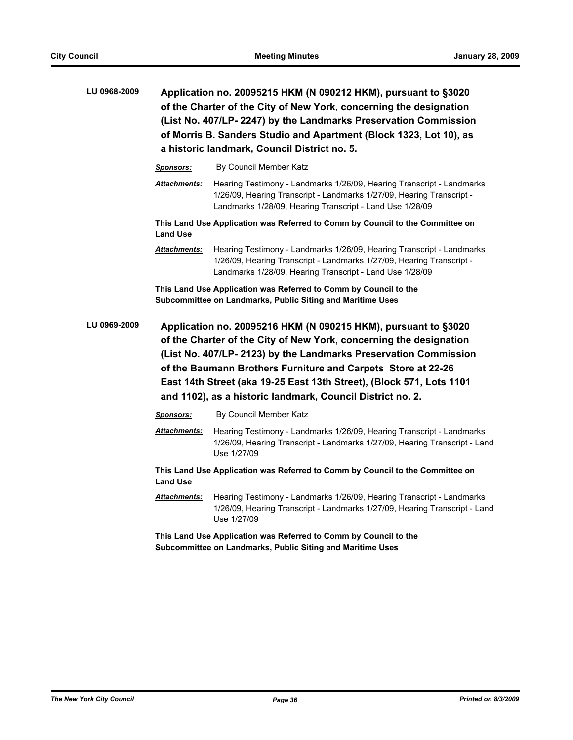|              |                     | Application no. 20095215 HKM (N 090212 HKM), pursuant to §3020<br>of the Charter of the City of New York, concerning the designation<br>(List No. 407/LP-2247) by the Landmarks Preservation Commission<br>of Morris B. Sanders Studio and Apartment (Block 1323, Lot 10), as<br>a historic landmark, Council District no. 5. |
|--------------|---------------------|-------------------------------------------------------------------------------------------------------------------------------------------------------------------------------------------------------------------------------------------------------------------------------------------------------------------------------|
|              | <b>Sponsors:</b>    | By Council Member Katz                                                                                                                                                                                                                                                                                                        |
|              | Attachments:        | Hearing Testimony - Landmarks 1/26/09, Hearing Transcript - Landmarks<br>1/26/09, Hearing Transcript - Landmarks 1/27/09, Hearing Transcript -<br>Landmarks 1/28/09, Hearing Transcript - Land Use 1/28/09                                                                                                                    |
|              | <b>Land Use</b>     | This Land Use Application was Referred to Comm by Council to the Committee on                                                                                                                                                                                                                                                 |
|              | Attachments:        | Hearing Testimony - Landmarks 1/26/09, Hearing Transcript - Landmarks<br>1/26/09, Hearing Transcript - Landmarks 1/27/09, Hearing Transcript -<br>Landmarks 1/28/09, Hearing Transcript - Land Use 1/28/09                                                                                                                    |
|              |                     | This Land Use Application was Referred to Comm by Council to the<br>Subcommittee on Landmarks, Public Siting and Maritime Uses                                                                                                                                                                                                |
| LU 0969-2009 |                     | Application no. 20095216 HKM (N 090215 HKM), pursuant to §3020<br>of the Charter of the City of New York, concerning the designation<br>(List No. 407/LP- 2123) by the Landmarks Preservation Commission                                                                                                                      |
|              |                     | of the Baumann Brothers Furniture and Carpets Store at 22-26<br>East 14th Street (aka 19-25 East 13th Street), (Block 571, Lots 1101<br>and 1102), as a historic landmark, Council District no. 2.                                                                                                                            |
|              | <b>Sponsors:</b>    | By Council Member Katz                                                                                                                                                                                                                                                                                                        |
|              | Attachments:        | Hearing Testimony - Landmarks 1/26/09, Hearing Transcript - Landmarks<br>1/26/09, Hearing Transcript - Landmarks 1/27/09, Hearing Transcript - Land<br>Use 1/27/09                                                                                                                                                            |
|              | <b>Land Use</b>     | This Land Use Application was Referred to Comm by Council to the Committee on                                                                                                                                                                                                                                                 |
|              | <b>Attachments:</b> | Hearing Testimony - Landmarks 1/26/09, Hearing Transcript - Landmarks<br>1/26/09, Hearing Transcript - Landmarks 1/27/09, Hearing Transcript - Land<br>Use 1/27/09                                                                                                                                                            |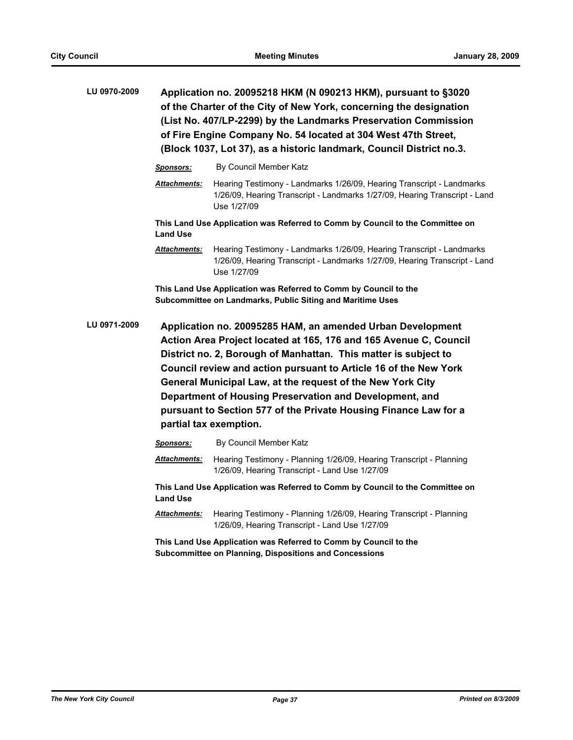| LU 0970-2009 | Application no. 20095218 HKM (N 090213 HKM), pursuant to §3020<br>of the Charter of the City of New York, concerning the designation<br>(List No. 407/LP-2299) by the Landmarks Preservation Commission<br>of Fire Engine Company No. 54 located at 304 West 47th Street,<br>(Block 1037, Lot 37), as a historic landmark, Council District no.3.                                                                                                                                             |                                                                                                                                                                    |  |
|--------------|-----------------------------------------------------------------------------------------------------------------------------------------------------------------------------------------------------------------------------------------------------------------------------------------------------------------------------------------------------------------------------------------------------------------------------------------------------------------------------------------------|--------------------------------------------------------------------------------------------------------------------------------------------------------------------|--|
|              | <u>Sponsors:</u>                                                                                                                                                                                                                                                                                                                                                                                                                                                                              | By Council Member Katz                                                                                                                                             |  |
|              | <b>Attachments:</b>                                                                                                                                                                                                                                                                                                                                                                                                                                                                           | Hearing Testimony - Landmarks 1/26/09, Hearing Transcript - Landmarks<br>1/26/09, Hearing Transcript - Landmarks 1/27/09, Hearing Transcript - Land<br>Use 1/27/09 |  |
|              | <b>Land Use</b>                                                                                                                                                                                                                                                                                                                                                                                                                                                                               | This Land Use Application was Referred to Comm by Council to the Committee on                                                                                      |  |
|              | <b>Attachments:</b>                                                                                                                                                                                                                                                                                                                                                                                                                                                                           | Hearing Testimony - Landmarks 1/26/09, Hearing Transcript - Landmarks<br>1/26/09, Hearing Transcript - Landmarks 1/27/09, Hearing Transcript - Land<br>Use 1/27/09 |  |
|              |                                                                                                                                                                                                                                                                                                                                                                                                                                                                                               | This Land Use Application was Referred to Comm by Council to the<br>Subcommittee on Landmarks, Public Siting and Maritime Uses                                     |  |
| LU 0971-2009 | Application no. 20095285 HAM, an amended Urban Development<br>Action Area Project located at 165, 176 and 165 Avenue C, Council<br>District no. 2, Borough of Manhattan. This matter is subject to<br>Council review and action pursuant to Article 16 of the New York<br>General Municipal Law, at the request of the New York City<br>Department of Housing Preservation and Development, and<br>pursuant to Section 577 of the Private Housing Finance Law for a<br>partial tax exemption. |                                                                                                                                                                    |  |
|              | <b>Sponsors:</b>                                                                                                                                                                                                                                                                                                                                                                                                                                                                              | By Council Member Katz                                                                                                                                             |  |
|              | <u> Attachments:</u>                                                                                                                                                                                                                                                                                                                                                                                                                                                                          | Hearing Testimony - Planning 1/26/09, Hearing Transcript - Planning<br>1/26/09, Hearing Transcript - Land Use 1/27/09                                              |  |
|              | <b>Land Use</b>                                                                                                                                                                                                                                                                                                                                                                                                                                                                               | This Land Use Application was Referred to Comm by Council to the Committee on                                                                                      |  |
|              | <b>Attachments:</b>                                                                                                                                                                                                                                                                                                                                                                                                                                                                           | Hearing Testimony - Planning 1/26/09, Hearing Transcript - Planning<br>1/26/09, Hearing Transcript - Land Use 1/27/09                                              |  |
|              |                                                                                                                                                                                                                                                                                                                                                                                                                                                                                               | This Land Use Application was Referred to Comm by Council to the<br><b>Subcommittee on Planning, Dispositions and Concessions</b>                                  |  |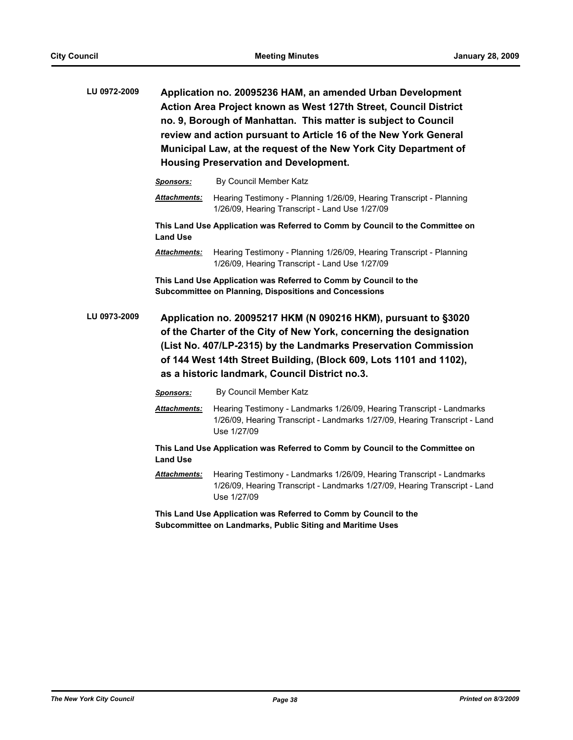| LU 0972-2009 | Application no. 20095236 HAM, an amended Urban Development       |  |  |  |
|--------------|------------------------------------------------------------------|--|--|--|
|              | Action Area Project known as West 127th Street, Council District |  |  |  |
|              | no. 9, Borough of Manhattan. This matter is subject to Council   |  |  |  |
|              | review and action pursuant to Article 16 of the New York General |  |  |  |
|              | Municipal Law, at the request of the New York City Department of |  |  |  |
|              | <b>Housing Preservation and Development.</b>                     |  |  |  |

|              | <b>Sponsors:</b>                                                                                                                                                                                                                                                                                                                | By Council Member Katz                                                                                                                                             |  |
|--------------|---------------------------------------------------------------------------------------------------------------------------------------------------------------------------------------------------------------------------------------------------------------------------------------------------------------------------------|--------------------------------------------------------------------------------------------------------------------------------------------------------------------|--|
|              | <b>Attachments:</b>                                                                                                                                                                                                                                                                                                             | Hearing Testimony - Planning 1/26/09, Hearing Transcript - Planning<br>1/26/09, Hearing Transcript - Land Use 1/27/09                                              |  |
|              | <b>Land Use</b>                                                                                                                                                                                                                                                                                                                 | This Land Use Application was Referred to Comm by Council to the Committee on                                                                                      |  |
|              | <b>Attachments:</b>                                                                                                                                                                                                                                                                                                             | Hearing Testimony - Planning 1/26/09, Hearing Transcript - Planning<br>1/26/09, Hearing Transcript - Land Use 1/27/09                                              |  |
|              |                                                                                                                                                                                                                                                                                                                                 | This Land Use Application was Referred to Comm by Council to the<br><b>Subcommittee on Planning, Dispositions and Concessions</b>                                  |  |
| LU 0973-2009 | Application no. 20095217 HKM (N 090216 HKM), pursuant to §3020<br>of the Charter of the City of New York, concerning the designation<br>(List No. 407/LP-2315) by the Landmarks Preservation Commission<br>of 144 West 14th Street Building, (Block 609, Lots 1101 and 1102),<br>as a historic landmark, Council District no.3. |                                                                                                                                                                    |  |
|              | <b>Sponsors:</b>                                                                                                                                                                                                                                                                                                                | By Council Member Katz                                                                                                                                             |  |
|              | <b>Attachments:</b>                                                                                                                                                                                                                                                                                                             | Hearing Testimony - Landmarks 1/26/09, Hearing Transcript - Landmarks<br>1/26/09, Hearing Transcript - Landmarks 1/27/09, Hearing Transcript - Land<br>Use 1/27/09 |  |
|              | <b>Land Use</b>                                                                                                                                                                                                                                                                                                                 | This Land Use Application was Referred to Comm by Council to the Committee on                                                                                      |  |
|              | Attachments:                                                                                                                                                                                                                                                                                                                    | Hearing Testimony - Landmarks 1/26/09 Hearing Transcript - Landmarks                                                                                               |  |

*Attachments:* Hearing Testimony - Landmarks 1/26/09, Hearing Transcript - Landmarks 1/26/09, Hearing Transcript - Landmarks 1/27/09, Hearing Transcript - Land Use 1/27/09

**This Land Use Application was Referred to Comm by Council to the Subcommittee on Landmarks, Public Siting and Maritime Uses**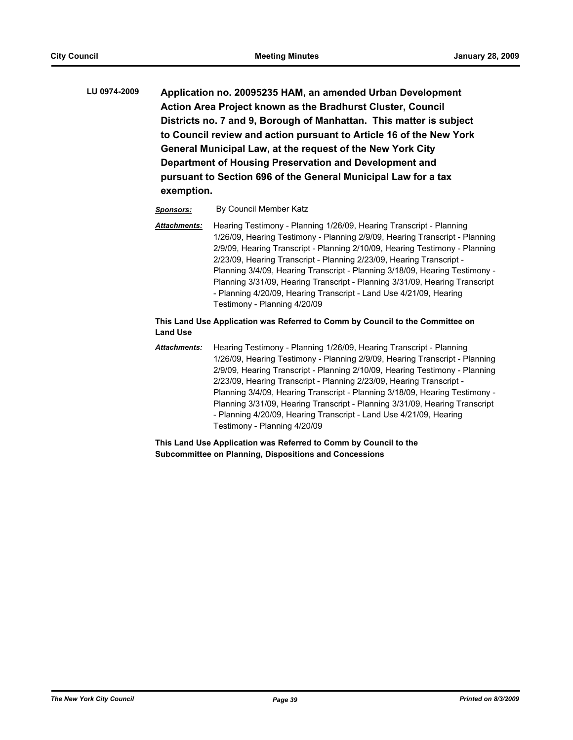**LU 0974-2009 Application no. 20095235 HAM, an amended Urban Development Action Area Project known as the Bradhurst Cluster, Council Districts no. 7 and 9, Borough of Manhattan. This matter is subject to Council review and action pursuant to Article 16 of the New York General Municipal Law, at the request of the New York City Department of Housing Preservation and Development and pursuant to Section 696 of the General Municipal Law for a tax exemption.**

#### *Sponsors:* By Council Member Katz

*Attachments:* Hearing Testimony - Planning 1/26/09, Hearing Transcript - Planning 1/26/09, Hearing Testimony - Planning 2/9/09, Hearing Transcript - Planning 2/9/09, Hearing Transcript - Planning 2/10/09, Hearing Testimony - Planning 2/23/09, Hearing Transcript - Planning 2/23/09, Hearing Transcript - Planning 3/4/09, Hearing Transcript - Planning 3/18/09, Hearing Testimony - Planning 3/31/09, Hearing Transcript - Planning 3/31/09, Hearing Transcript - Planning 4/20/09, Hearing Transcript - Land Use 4/21/09, Hearing Testimony - Planning 4/20/09

#### **This Land Use Application was Referred to Comm by Council to the Committee on Land Use**

*Attachments:* Hearing Testimony - Planning 1/26/09, Hearing Transcript - Planning 1/26/09, Hearing Testimony - Planning 2/9/09, Hearing Transcript - Planning 2/9/09, Hearing Transcript - Planning 2/10/09, Hearing Testimony - Planning 2/23/09, Hearing Transcript - Planning 2/23/09, Hearing Transcript - Planning 3/4/09, Hearing Transcript - Planning 3/18/09, Hearing Testimony - Planning 3/31/09, Hearing Transcript - Planning 3/31/09, Hearing Transcript - Planning 4/20/09, Hearing Transcript - Land Use 4/21/09, Hearing Testimony - Planning 4/20/09

#### **This Land Use Application was Referred to Comm by Council to the Subcommittee on Planning, Dispositions and Concessions**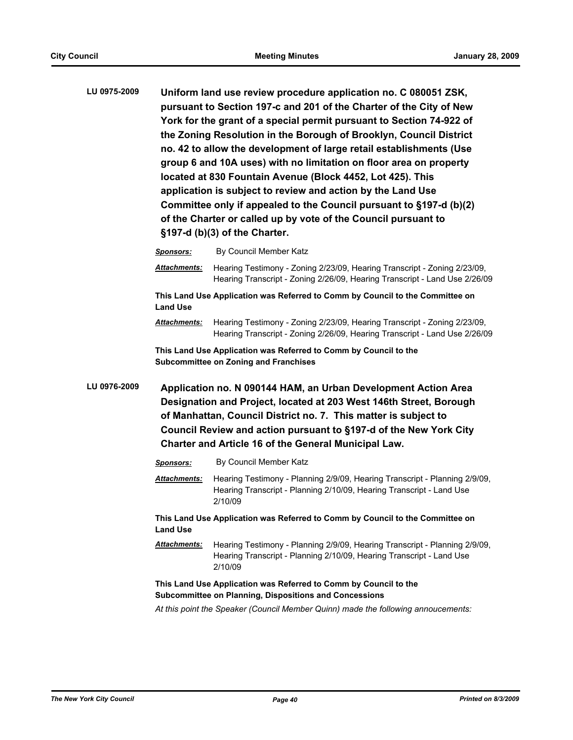| LU 0975-2009 | Uniform land use review procedure application no. C 080051 ZSK,<br>pursuant to Section 197-c and 201 of the Charter of the City of New<br>York for the grant of a special permit pursuant to Section 74-922 of<br>the Zoning Resolution in the Borough of Brooklyn, Council District<br>no. 42 to allow the development of large retail establishments (Use<br>group 6 and 10A uses) with no limitation on floor area on property<br>located at 830 Fountain Avenue (Block 4452, Lot 425). This<br>application is subject to review and action by the Land Use<br>Committee only if appealed to the Council pursuant to §197-d (b)(2)<br>of the Charter or called up by vote of the Council pursuant to<br>§197-d (b)(3) of the Charter. |                                                                                                                                                        |
|--------------|------------------------------------------------------------------------------------------------------------------------------------------------------------------------------------------------------------------------------------------------------------------------------------------------------------------------------------------------------------------------------------------------------------------------------------------------------------------------------------------------------------------------------------------------------------------------------------------------------------------------------------------------------------------------------------------------------------------------------------------|--------------------------------------------------------------------------------------------------------------------------------------------------------|
|              | <b>Sponsors:</b>                                                                                                                                                                                                                                                                                                                                                                                                                                                                                                                                                                                                                                                                                                                         | By Council Member Katz                                                                                                                                 |
|              | <b>Attachments:</b>                                                                                                                                                                                                                                                                                                                                                                                                                                                                                                                                                                                                                                                                                                                      | Hearing Testimony - Zoning 2/23/09, Hearing Transcript - Zoning 2/23/09,<br>Hearing Transcript - Zoning 2/26/09, Hearing Transcript - Land Use 2/26/09 |
|              |                                                                                                                                                                                                                                                                                                                                                                                                                                                                                                                                                                                                                                                                                                                                          | This Land Use Application was Referred to Comm by Council to the Committee on                                                                          |

**Land Use** *Attachments:* Hearing Testimony - Zoning 2/23/09, Hearing Transcript - Zoning 2/23/09,

Hearing Transcript - Zoning 2/26/09, Hearing Transcript - Land Use 2/26/09

**This Land Use Application was Referred to Comm by Council to the Subcommittee on Zoning and Franchises**

**LU 0976-2009 Application no. N 090144 HAM, an Urban Development Action Area Designation and Project, located at 203 West 146th Street, Borough of Manhattan, Council District no. 7. This matter is subject to Council Review and action pursuant to §197-d of the New York City Charter and Article 16 of the General Municipal Law.**

| <b>Sponsors:</b>                                                 | By Council Member Katz                                                                                                                                        |  |  |
|------------------------------------------------------------------|---------------------------------------------------------------------------------------------------------------------------------------------------------------|--|--|
| <b>Attachments:</b>                                              | Hearing Testimony - Planning 2/9/09, Hearing Transcript - Planning 2/9/09,<br>Hearing Transcript - Planning 2/10/09, Hearing Transcript - Land Use<br>2/10/09 |  |  |
| <b>Land Use</b>                                                  | This Land Use Application was Referred to Comm by Council to the Committee on                                                                                 |  |  |
| <b>Attachments:</b>                                              | Hearing Testimony - Planning 2/9/09, Hearing Transcript - Planning 2/9/09,<br>Hearing Transcript - Planning 2/10/09, Hearing Transcript - Land Use<br>2/10/09 |  |  |
| This Land Use Application was Referred to Comm by Council to the |                                                                                                                                                               |  |  |

### **Subcommittee on Planning, Dispositions and Concessions**

*At this point the Speaker (Council Member Quinn) made the following annoucements:*